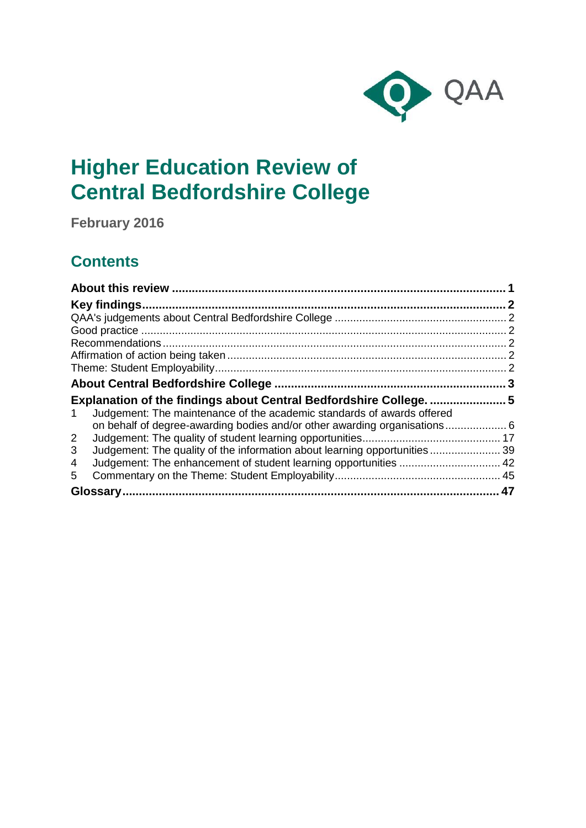

# **Higher Education Review of Central Bedfordshire College**

**February 2016**

## **Contents**

| Judgement: The maintenance of the academic standards of awards offered<br>1.   |  |
|--------------------------------------------------------------------------------|--|
|                                                                                |  |
| $\overline{2}$                                                                 |  |
| 3<br>Judgement: The quality of the information about learning opportunities 39 |  |
| 4                                                                              |  |
| 5.                                                                             |  |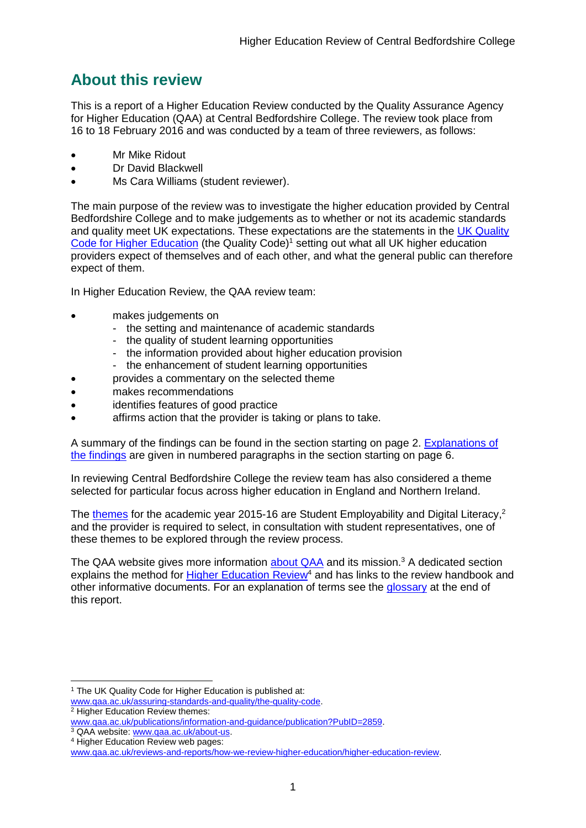## <span id="page-1-0"></span>**About this review**

This is a report of a Higher Education Review conducted by the Quality Assurance Agency for Higher Education (QAA) at [Central](#page-3-0) Bedfordshire College. The review took place from 16 to 18 February 2016 and was conducted by a team of three reviewers, as follows:

- Mr Mike Ridout
- Dr David Blackwell
- Ms Cara Williams (student reviewer).

The main purpose of the review was to investigate the higher education provided by [Central](#page-3-0) Bedfordshire College and to make judgements as to whether or not its academic standards and quality meet UK expectations. These expectations are the statements in the UK Quality [Code for Higher Education](http://www.qaa.ac.uk/assuring-standards-and-quality/the-quality-code) (the Quality Code)<sup>1</sup> setting out what all UK higher education [providers](http://newlive.qaa.ac.uk/AboutUs/glossary/Pages/glossary-h.aspx#h2.1) expect of themselves and of each other, and what the general public can therefore expect of them.

In Higher Education Review, the QAA review team:

- makes judgements on
	- the setting and maintenance of academic standards
	- the quality of student learning opportunities
	- the information provided about higher education provision
	- the enhancement of student learning opportunities
	- provides a commentary on the selected theme
- makes recommendations
- identifies features of good practice
- affirms action that the provider is taking or plans to take.

A summary of the findings can be found in the section starting on page 2. [Explanations of](#page-5-0)  [the findings](#page-5-0) are given in numbered paragraphs in the section starting on page 6.

In reviewing [Central](#page-3-0) Bedfordshire College the review team has also considered a theme selected for particular focus across higher education in England and Northern Ireland.

The [themes](http://www.qaa.ac.uk/publications/information-and-guidance/publication?PubID=106) for the academic year 2015-16 are Student Employability and Digital Literacy,<sup>2</sup> and the provider is required to select, in consultation with student representatives, one of these themes to be explored through the review process.

The QAA website gives more information [about QAA](http://www.qaa.ac.uk/aboutus/pages/default.aspx) and its mission.<sup>3</sup> A dedicated section explains the method for **Higher Education Review<sup>4</sup>** and has links to the review handbook and other informative documents. For an explanation of terms see the [glossary](#page-46-0) at the end of this report.

-

<sup>&</sup>lt;sup>1</sup> The UK Quality Code for Higher Education is published at:

[www.qaa.ac.uk/assuring-standards-and-quality/the-quality-code.](http://www.qaa.ac.uk/assuring-standards-and-quality/the-quality-code) <sup>2</sup> Higher Education Review themes:

[www.qaa.ac.uk/publications/information-and-guidance/publication?PubID=2859.](http://www.qaa.ac.uk/publications/information-and-guidance/publication?PubID=2859)

<sup>&</sup>lt;sup>3</sup> QAA website: [www.qaa.ac.uk/about-us.](http://www.qaa.ac.uk/about-us)

<sup>4</sup> Higher Education Review web pages:

[www.qaa.ac.uk/reviews-and-reports/how-we-review-higher-education/higher-education-review.](http://www.qaa.ac.uk/reviews-and-reports/how-we-review-higher-education/higher-education-review)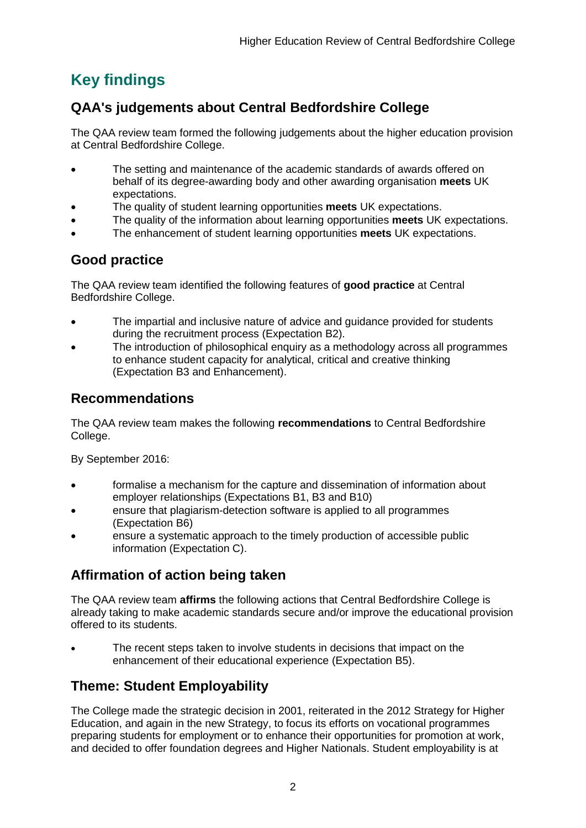## <span id="page-2-0"></span>**Key findings**

## <span id="page-2-1"></span>**QAA's judgements about [Central](#page-3-0) Bedfordshire College**

The QAA review team formed the following judgements about the higher education provision at [Central](https://reviewextranet.qaa.ac.uk/sites/her/4610/T15%20Review%20Findings%20Tool%20and%20Report%20Template%202015-16.doc#_About_[INSERT_Full) Bedfordshire College.

- The setting and maintenance of the academic standards of awards offered on behalf of its degree-awarding body and other awarding organisation **meets** UK expectations.
- The quality of student learning opportunities **meets** UK expectations.
- The quality of the information about learning opportunities **meets** UK expectations.
- The enhancement of student learning opportunities **meets** UK expectations.

## <span id="page-2-2"></span>**Good practice**

The QAA review team identified the following features of **good practice** at [Central](https://reviewextranet.qaa.ac.uk/sites/her/4610/T15%20Review%20Findings%20Tool%20and%20Report%20Template%202015-16.doc#_About_[INSERT_Full) Bedfordshire College.

- The impartial and inclusive nature of advice and guidance provided for students during the recruitment process (Expectation B2).
- The introduction of philosophical enquiry as a methodology across all programmes to enhance student capacity for analytical, critical and creative thinking (Expectation B3 and Enhancement).

## <span id="page-2-3"></span>**Recommendations**

The QAA review team makes the following **recommendations** to [Central](#page-3-0) Bedfordshire College.

By September 2016:

- formalise a mechanism for the capture and dissemination of information about employer relationships (Expectations B1, B3 and B10)
- ensure that plagiarism-detection software is applied to all programmes (Expectation B6)
- ensure a systematic approach to the timely production of accessible public information (Expectation C).

## <span id="page-2-4"></span>**Affirmation of action being taken**

The QAA review team **affirms** the following actions that [Central](#page-3-0) Bedfordshire College is already taking to make academic standards secure and/or improve the educational provision offered to its students.

 The recent steps taken to involve students in decisions that impact on the enhancement of their educational experience (Expectation B5).

## <span id="page-2-5"></span>**Theme: Student Employability**

The College made the strategic decision in 2001, reiterated in the 2012 Strategy for Higher Education, and again in the new Strategy, to focus its efforts on vocational programmes preparing students for employment or to enhance their opportunities for promotion at work, and decided to offer foundation degrees and Higher Nationals. Student employability is at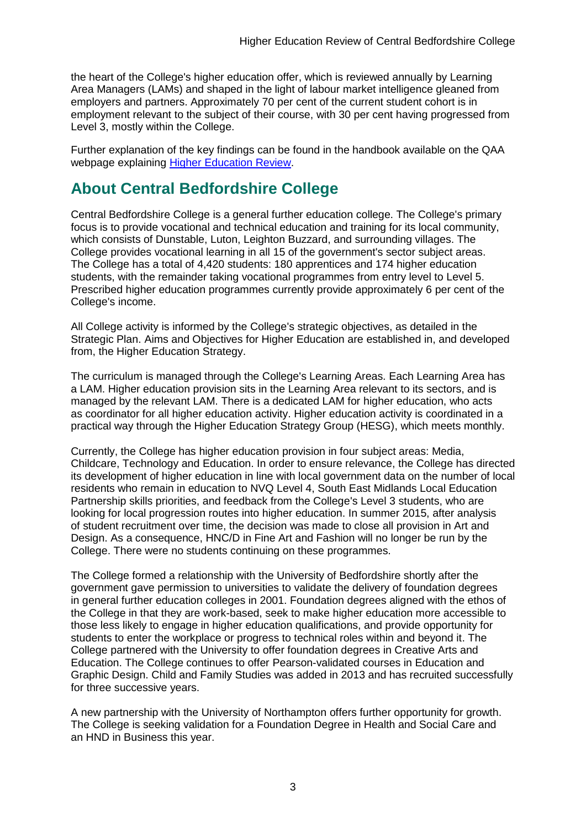the heart of the College's higher education offer, which is reviewed annually by Learning Area Managers (LAMs) and shaped in the light of labour market intelligence gleaned from employers and partners. Approximately 70 per cent of the current student cohort is in employment relevant to the subject of their course, with 30 per cent having progressed from Level 3, mostly within the College.

Further explanation of the key findings can be found in the handbook available on the QAA webpage explaining [Higher Education Review.](http://www.qaa.ac.uk/reviews-and-reports/how-we-review-higher-education/higher-education-review)

## <span id="page-3-0"></span>**About [Central](#page-3-0) Bedfordshire College**

Central Bedfordshire College is a general further education college. The College's primary focus is to provide vocational and technical education and training for its local community, which consists of Dunstable, Luton, Leighton Buzzard, and surrounding villages. The College provides vocational learning in all 15 of the government's sector subject areas. The College has a total of 4,420 students: 180 apprentices and 174 higher education students, with the remainder taking vocational programmes from entry level to Level 5. Prescribed higher education programmes currently provide approximately 6 per cent of the College's income.

All College activity is informed by the College's strategic objectives, as detailed in the Strategic Plan. Aims and Objectives for Higher Education are established in, and developed from, the Higher Education Strategy.

The curriculum is managed through the College's Learning Areas. Each Learning Area has a LAM. Higher education provision sits in the Learning Area relevant to its sectors, and is managed by the relevant LAM. There is a dedicated LAM for higher education, who acts as coordinator for all higher education activity. Higher education activity is coordinated in a practical way through the Higher Education Strategy Group (HESG), which meets monthly.

Currently, the College has higher education provision in four subject areas: Media, Childcare, Technology and Education. In order to ensure relevance, the College has directed its development of higher education in line with local government data on the number of local residents who remain in education to NVQ Level 4, South East Midlands Local Education Partnership skills priorities, and feedback from the College's Level 3 students, who are looking for local progression routes into higher education. In summer 2015, after analysis of student recruitment over time, the decision was made to close all provision in Art and Design. As a consequence, HNC/D in Fine Art and Fashion will no longer be run by the College. There were no students continuing on these programmes.

The College formed a relationship with the University of Bedfordshire shortly after the government gave permission to universities to validate the delivery of foundation degrees in general further education colleges in 2001. Foundation degrees aligned with the ethos of the College in that they are work-based, seek to make higher education more accessible to those less likely to engage in higher education qualifications, and provide opportunity for students to enter the workplace or progress to technical roles within and beyond it. The College partnered with the University to offer foundation degrees in Creative Arts and Education. The College continues to offer Pearson-validated courses in Education and Graphic Design. Child and Family Studies was added in 2013 and has recruited successfully for three successive years.

A new partnership with the University of Northampton offers further opportunity for growth. The College is seeking validation for a Foundation Degree in Health and Social Care and an HND in Business this year.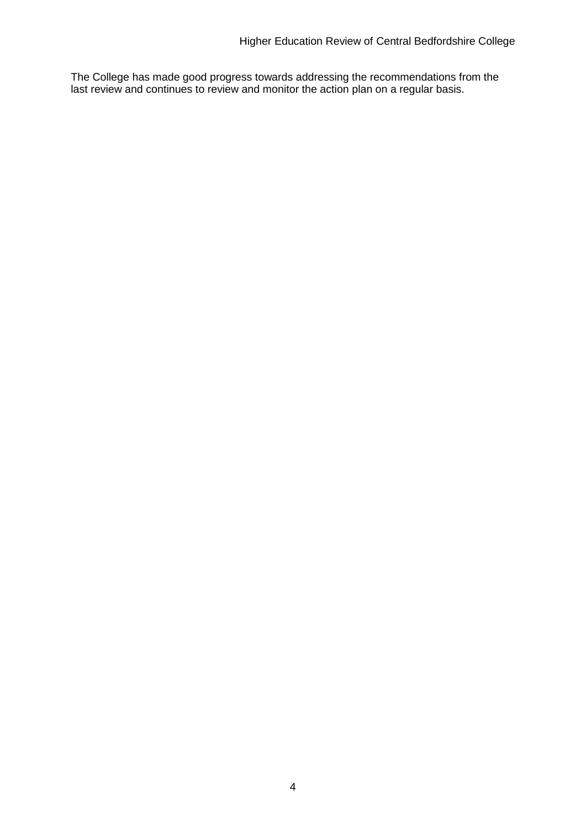The College has made good progress towards addressing the recommendations from the last review and continues to review and monitor the action plan on a regular basis.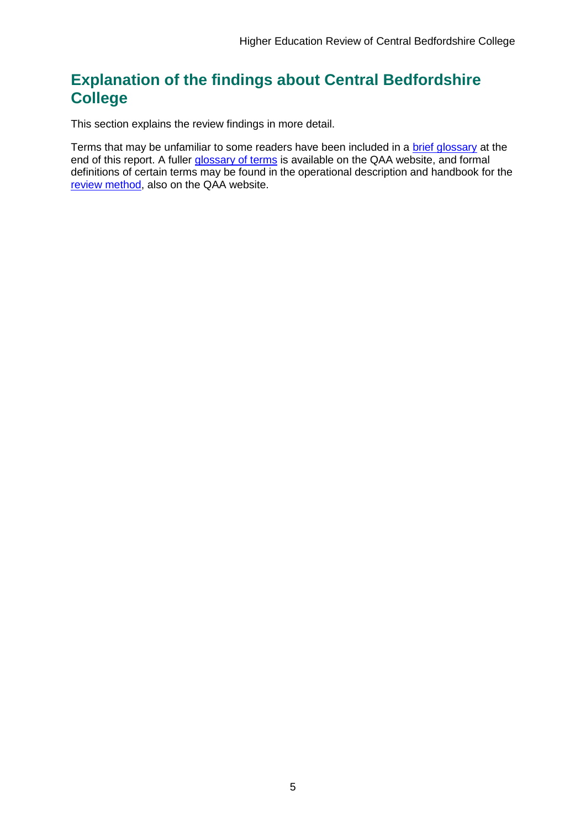## <span id="page-5-0"></span>**Explanation of the findings about [Central](#page-3-0) Bedfordshire College**

This section explains the review findings in more detail.

Terms that may be unfamiliar to some readers have been included in a [brief glossary](#page-46-0) at the end of this report. A fuller [glossary of terms](http://www.qaa.ac.uk/Pages/GlossaryEN.aspx) is available on the QAA website, and formal definitions of certain terms may be found in the operational description and handbook for the [review method,](http://www.qaa.ac.uk/reviews-and-reports/how-we-review-higher-education/higher-education-review) also on the QAA website.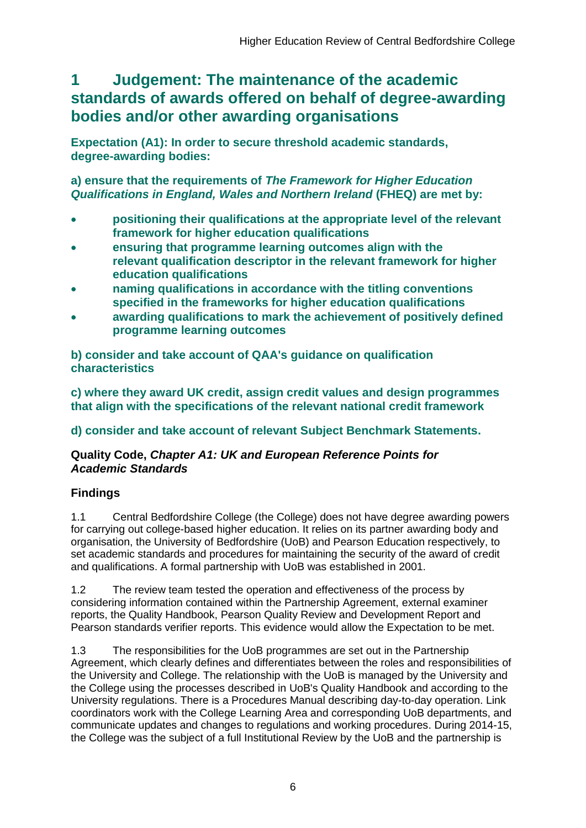## <span id="page-6-0"></span>**1 Judgement: The maintenance of the academic standards of awards offered on behalf of degree-awarding bodies and/or other awarding organisations**

**Expectation (A1): In order to secure threshold academic standards, degree-awarding bodies:** 

**a) ensure that the requirements of** *The Framework for Higher Education Qualifications in England, Wales and Northern Ireland* **(FHEQ) are met by:**

- **positioning their qualifications at the appropriate level of the relevant framework for higher education qualifications**
- **ensuring that programme learning outcomes align with the relevant qualification descriptor in the relevant framework for higher education qualifications**
- **naming qualifications in accordance with the titling conventions specified in the frameworks for higher education qualifications**
- **awarding qualifications to mark the achievement of positively defined programme learning outcomes**

**b) consider and take account of QAA's guidance on qualification characteristics** 

**c) where they award UK credit, assign credit values and design programmes that align with the specifications of the relevant national credit framework** 

### **d) consider and take account of relevant Subject Benchmark Statements.**

### **Quality Code,** *Chapter A1: UK and European Reference Points for Academic Standards*

### **Findings**

1.1 Central Bedfordshire College (the College) does not have degree awarding powers for carrying out college-based higher education. It relies on its partner awarding body and organisation, the University of Bedfordshire (UoB) and Pearson Education respectively, to set academic standards and procedures for maintaining the security of the award of credit and qualifications. A formal partnership with UoB was established in 2001.

1.2 The review team tested the operation and effectiveness of the process by considering information contained within the Partnership Agreement, external examiner reports, the Quality Handbook, Pearson Quality Review and Development Report and Pearson standards verifier reports. This evidence would allow the Expectation to be met.

1.3 The responsibilities for the UoB programmes are set out in the Partnership Agreement, which clearly defines and differentiates between the roles and responsibilities of the University and College. The relationship with the UoB is managed by the University and the College using the processes described in UoB's Quality Handbook and according to the University regulations. There is a Procedures Manual describing day-to-day operation. Link coordinators work with the College Learning Area and corresponding UoB departments, and communicate updates and changes to regulations and working procedures. During 2014-15, the College was the subject of a full Institutional Review by the UoB and the partnership is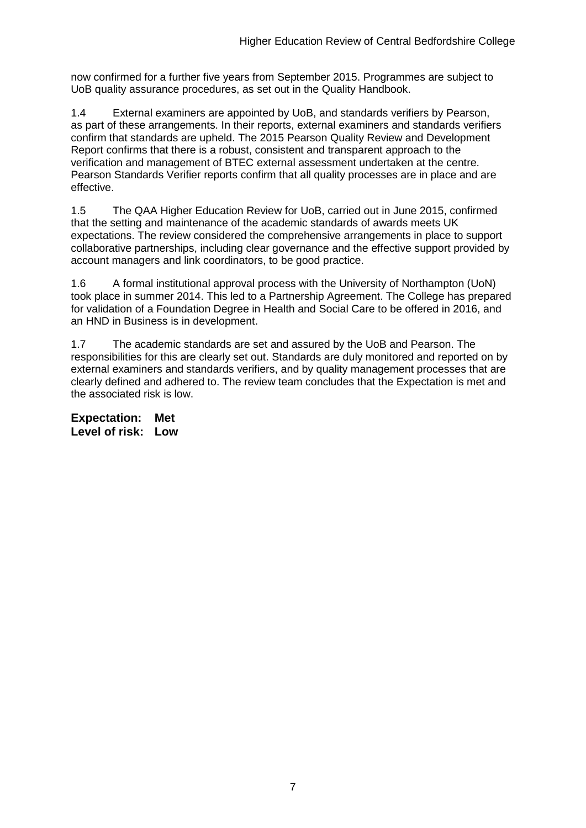now confirmed for a further five years from September 2015. Programmes are subject to UoB quality assurance procedures, as set out in the Quality Handbook.

1.4 External examiners are appointed by UoB, and standards verifiers by Pearson, as part of these arrangements. In their reports, external examiners and standards verifiers confirm that standards are upheld. The 2015 Pearson Quality Review and Development Report confirms that there is a robust, consistent and transparent approach to the verification and management of BTEC external assessment undertaken at the centre. Pearson Standards Verifier reports confirm that all quality processes are in place and are effective.

1.5 The QAA Higher Education Review for UoB, carried out in June 2015, confirmed that the setting and maintenance of the academic standards of awards meets UK expectations. The review considered the comprehensive arrangements in place to support collaborative partnerships, including clear governance and the effective support provided by account managers and link coordinators, to be good practice.

1.6 A formal institutional approval process with the University of Northampton (UoN) took place in summer 2014. This led to a Partnership Agreement. The College has prepared for validation of a Foundation Degree in Health and Social Care to be offered in 2016, and an HND in Business is in development.

1.7 The academic standards are set and assured by the UoB and Pearson. The responsibilities for this are clearly set out. Standards are duly monitored and reported on by external examiners and standards verifiers, and by quality management processes that are clearly defined and adhered to. The review team concludes that the Expectation is met and the associated risk is low.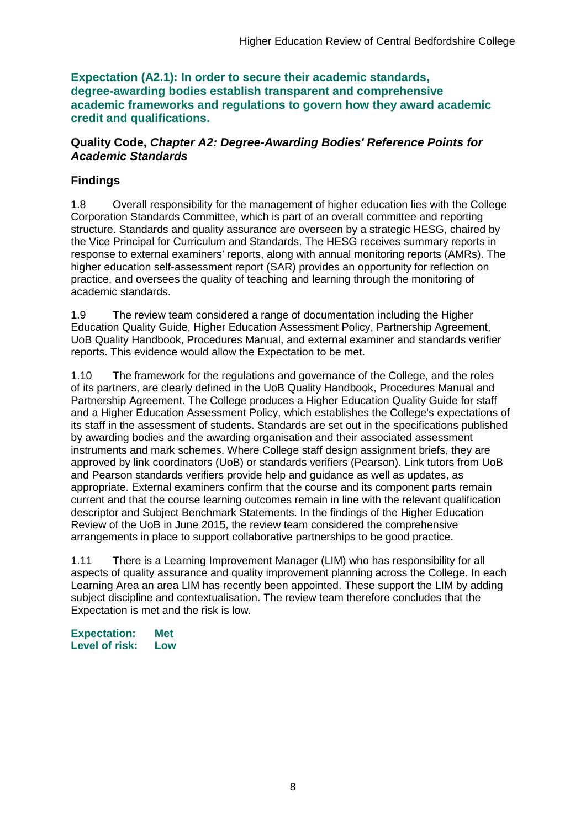**Expectation (A2.1): In order to secure their academic standards, degree-awarding bodies establish transparent and comprehensive academic frameworks and regulations to govern how they award academic credit and qualifications.**

#### **Quality Code,** *Chapter A2: Degree-Awarding Bodies' Reference Points for Academic Standards*

### **Findings**

1.8 Overall responsibility for the management of higher education lies with the College Corporation Standards Committee, which is part of an overall committee and reporting structure. Standards and quality assurance are overseen by a strategic HESG, chaired by the Vice Principal for Curriculum and Standards. The HESG receives summary reports in response to external examiners' reports, along with annual monitoring reports (AMRs). The higher education self-assessment report (SAR) provides an opportunity for reflection on practice, and oversees the quality of teaching and learning through the monitoring of academic standards.

1.9 The review team considered a range of documentation including the Higher Education Quality Guide, Higher Education Assessment Policy, Partnership Agreement, UoB Quality Handbook, Procedures Manual, and external examiner and standards verifier reports. This evidence would allow the Expectation to be met.

1.10 The framework for the regulations and governance of the College, and the roles of its partners, are clearly defined in the UoB Quality Handbook, Procedures Manual and Partnership Agreement. The College produces a Higher Education Quality Guide for staff and a Higher Education Assessment Policy, which establishes the College's expectations of its staff in the assessment of students. Standards are set out in the specifications published by awarding bodies and the awarding organisation and their associated assessment instruments and mark schemes. Where College staff design assignment briefs, they are approved by link coordinators (UoB) or standards verifiers (Pearson). Link tutors from UoB and Pearson standards verifiers provide help and guidance as well as updates, as appropriate. External examiners confirm that the course and its component parts remain current and that the course learning outcomes remain in line with the relevant qualification descriptor and Subject Benchmark Statements. In the findings of the Higher Education Review of the UoB in June 2015, the review team considered the comprehensive arrangements in place to support collaborative partnerships to be good practice.

1.11 There is a Learning Improvement Manager (LIM) who has responsibility for all aspects of quality assurance and quality improvement planning across the College. In each Learning Area an area LIM has recently been appointed. These support the LIM by adding subject discipline and contextualisation. The review team therefore concludes that the Expectation is met and the risk is low.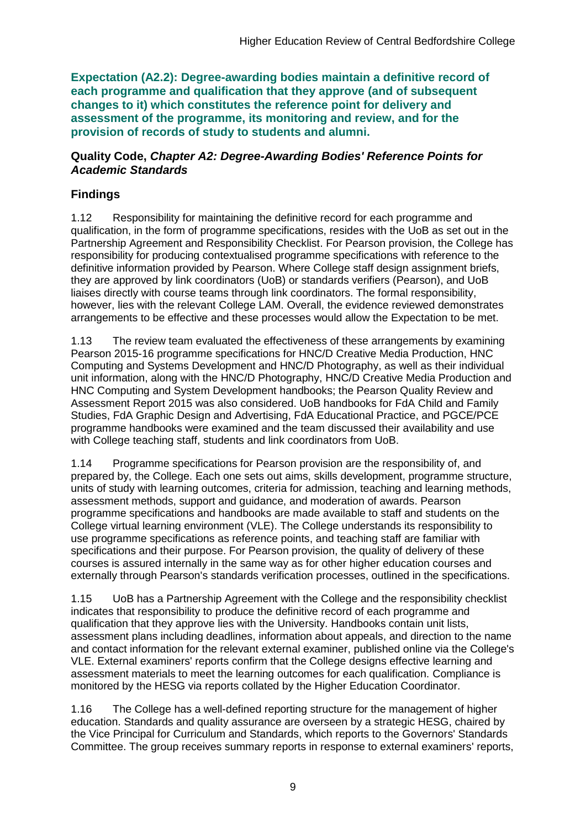**Expectation (A2.2): Degree-awarding bodies maintain a definitive record of each programme and qualification that they approve (and of subsequent changes to it) which constitutes the reference point for delivery and assessment of the programme, its monitoring and review, and for the provision of records of study to students and alumni.** 

#### **Quality Code,** *Chapter A2: Degree-Awarding Bodies' Reference Points for Academic Standards*

## **Findings**

1.12 Responsibility for maintaining the definitive record for each programme and qualification, in the form of programme specifications, resides with the UoB as set out in the Partnership Agreement and Responsibility Checklist. For Pearson provision, the College has responsibility for producing contextualised programme specifications with reference to the definitive information provided by Pearson. Where College staff design assignment briefs, they are approved by link coordinators (UoB) or standards verifiers (Pearson), and UoB liaises directly with course teams through link coordinators. The formal responsibility, however, lies with the relevant College LAM. Overall, the evidence reviewed demonstrates arrangements to be effective and these processes would allow the Expectation to be met.

1.13 The review team evaluated the effectiveness of these arrangements by examining Pearson 2015-16 programme specifications for HNC/D Creative Media Production, HNC Computing and Systems Development and HNC/D Photography, as well as their individual unit information, along with the HNC/D Photography, HNC/D Creative Media Production and HNC Computing and System Development handbooks; the Pearson Quality Review and Assessment Report 2015 was also considered. UoB handbooks for FdA Child and Family Studies, FdA Graphic Design and Advertising, FdA Educational Practice, and PGCE/PCE programme handbooks were examined and the team discussed their availability and use with College teaching staff, students and link coordinators from UoB.

1.14 Programme specifications for Pearson provision are the responsibility of, and prepared by, the College. Each one sets out aims, skills development, programme structure, units of study with learning outcomes, criteria for admission, teaching and learning methods, assessment methods, support and guidance, and moderation of awards. Pearson programme specifications and handbooks are made available to staff and students on the College virtual learning environment (VLE). The College understands its responsibility to use programme specifications as reference points, and teaching staff are familiar with specifications and their purpose. For Pearson provision, the quality of delivery of these courses is assured internally in the same way as for other higher education courses and externally through Pearson's standards verification processes, outlined in the specifications.

1.15 UoB has a Partnership Agreement with the College and the responsibility checklist indicates that responsibility to produce the definitive record of each programme and qualification that they approve lies with the University. Handbooks contain unit lists, assessment plans including deadlines, information about appeals, and direction to the name and contact information for the relevant external examiner, published online via the College's VLE. External examiners' reports confirm that the College designs effective learning and assessment materials to meet the learning outcomes for each qualification. Compliance is monitored by the HESG via reports collated by the Higher Education Coordinator.

1.16 The College has a well-defined reporting structure for the management of higher education. Standards and quality assurance are overseen by a strategic HESG, chaired by the Vice Principal for Curriculum and Standards, which reports to the Governors' Standards Committee. The group receives summary reports in response to external examiners' reports,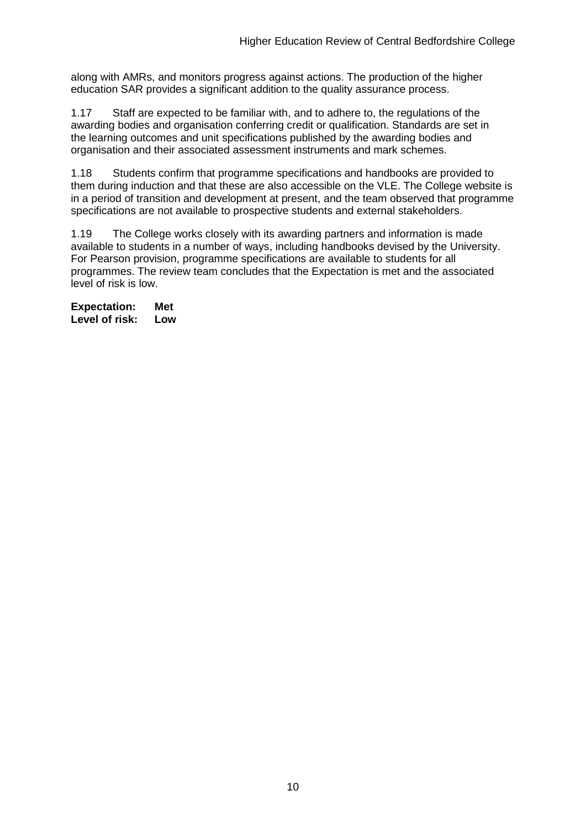along with AMRs, and monitors progress against actions. The production of the higher education SAR provides a significant addition to the quality assurance process.

1.17 Staff are expected to be familiar with, and to adhere to, the regulations of the awarding bodies and organisation conferring credit or qualification. Standards are set in the learning outcomes and unit specifications published by the awarding bodies and organisation and their associated assessment instruments and mark schemes.

1.18 Students confirm that programme specifications and handbooks are provided to them during induction and that these are also accessible on the VLE. The College website is in a period of transition and development at present, and the team observed that programme specifications are not available to prospective students and external stakeholders.

1.19 The College works closely with its awarding partners and information is made available to students in a number of ways, including handbooks devised by the University. For Pearson provision, programme specifications are available to students for all programmes. The review team concludes that the Expectation is met and the associated level of risk is low.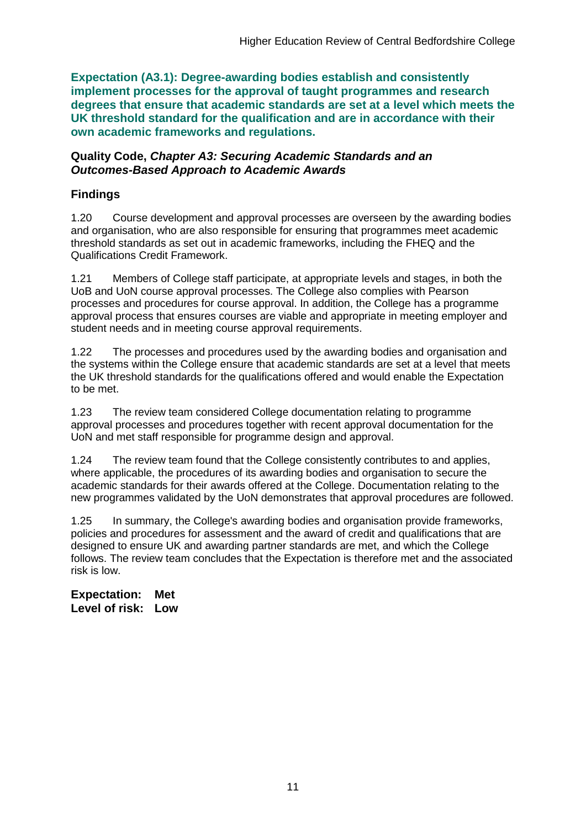**Expectation (A3.1): Degree-awarding bodies establish and consistently implement processes for the approval of taught programmes and research degrees that ensure that academic standards are set at a level which meets the UK threshold standard for the qualification and are in accordance with their own academic frameworks and regulations.**

#### **Quality Code,** *Chapter A3: Securing Academic Standards and an Outcomes-Based Approach to Academic Awards*

### **Findings**

1.20 Course development and approval processes are overseen by the awarding bodies and organisation, who are also responsible for ensuring that programmes meet academic threshold standards as set out in academic frameworks, including the FHEQ and the Qualifications Credit Framework.

1.21 Members of College staff participate, at appropriate levels and stages, in both the UoB and UoN course approval processes. The College also complies with Pearson processes and procedures for course approval. In addition, the College has a programme approval process that ensures courses are viable and appropriate in meeting employer and student needs and in meeting course approval requirements.

1.22 The processes and procedures used by the awarding bodies and organisation and the systems within the College ensure that academic standards are set at a level that meets the UK threshold standards for the qualifications offered and would enable the Expectation to be met.

1.23 The review team considered College documentation relating to programme approval processes and procedures together with recent approval documentation for the UoN and met staff responsible for programme design and approval.

1.24 The review team found that the College consistently contributes to and applies, where applicable, the procedures of its awarding bodies and organisation to secure the academic standards for their awards offered at the College. Documentation relating to the new programmes validated by the UoN demonstrates that approval procedures are followed.

1.25 In summary, the College's awarding bodies and organisation provide frameworks, policies and procedures for assessment and the award of credit and qualifications that are designed to ensure UK and awarding partner standards are met, and which the College follows. The review team concludes that the Expectation is therefore met and the associated risk is low.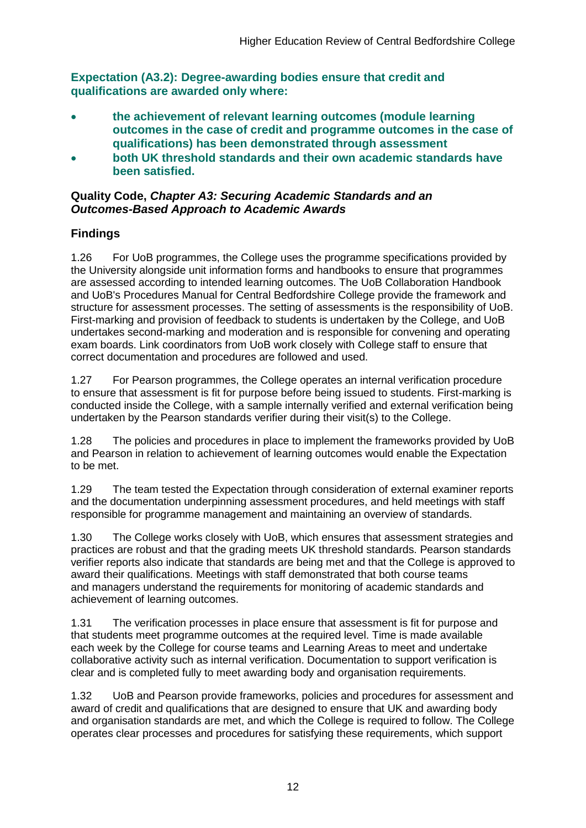**Expectation (A3.2): Degree-awarding bodies ensure that credit and qualifications are awarded only where:** 

- **the achievement of relevant learning outcomes (module learning outcomes in the case of credit and programme outcomes in the case of qualifications) has been demonstrated through assessment**
- **both UK threshold standards and their own academic standards have been satisfied.**

### **Quality Code,** *Chapter A3: Securing Academic Standards and an Outcomes-Based Approach to Academic Awards*

## **Findings**

1.26 For UoB programmes, the College uses the programme specifications provided by the University alongside unit information forms and handbooks to ensure that programmes are assessed according to intended learning outcomes. The UoB Collaboration Handbook and UoB's Procedures Manual for Central Bedfordshire College provide the framework and structure for assessment processes. The setting of assessments is the responsibility of UoB. First-marking and provision of feedback to students is undertaken by the College, and UoB undertakes second-marking and moderation and is responsible for convening and operating exam boards. Link coordinators from UoB work closely with College staff to ensure that correct documentation and procedures are followed and used.

1.27 For Pearson programmes, the College operates an internal verification procedure to ensure that assessment is fit for purpose before being issued to students. First-marking is conducted inside the College, with a sample internally verified and external verification being undertaken by the Pearson standards verifier during their visit(s) to the College.

1.28 The policies and procedures in place to implement the frameworks provided by UoB and Pearson in relation to achievement of learning outcomes would enable the Expectation to be met.

1.29 The team tested the Expectation through consideration of external examiner reports and the documentation underpinning assessment procedures, and held meetings with staff responsible for programme management and maintaining an overview of standards.

1.30 The College works closely with UoB, which ensures that assessment strategies and practices are robust and that the grading meets UK threshold standards. Pearson standards verifier reports also indicate that standards are being met and that the College is approved to award their qualifications. Meetings with staff demonstrated that both course teams and managers understand the requirements for monitoring of academic standards and achievement of learning outcomes.

1.31 The verification processes in place ensure that assessment is fit for purpose and that students meet programme outcomes at the required level. Time is made available each week by the College for course teams and Learning Areas to meet and undertake collaborative activity such as internal verification. Documentation to support verification is clear and is completed fully to meet awarding body and organisation requirements.

1.32 UoB and Pearson provide frameworks, policies and procedures for assessment and award of credit and qualifications that are designed to ensure that UK and awarding body and organisation standards are met, and which the College is required to follow. The College operates clear processes and procedures for satisfying these requirements, which support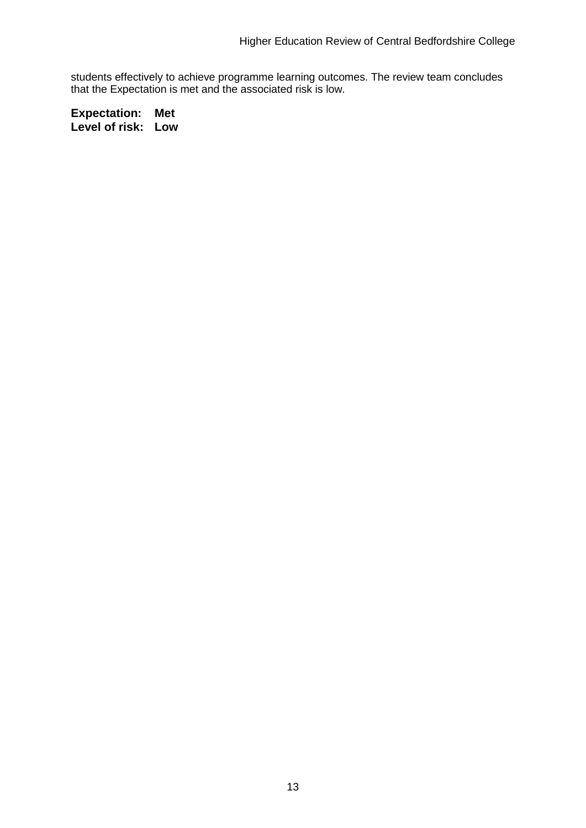students effectively to achieve programme learning outcomes. The review team concludes that the Expectation is met and the associated risk is low.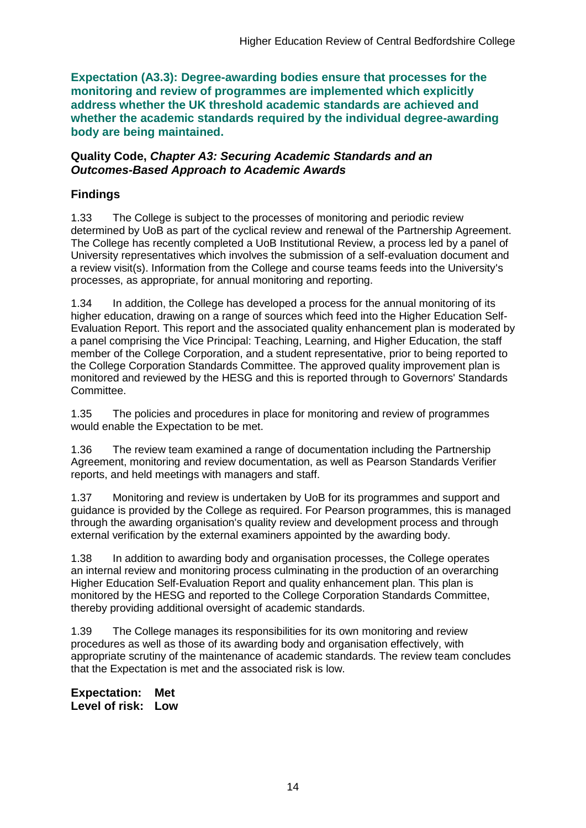**Expectation (A3.3): Degree-awarding bodies ensure that processes for the monitoring and review of programmes are implemented which explicitly address whether the UK threshold academic standards are achieved and whether the academic standards required by the individual degree-awarding body are being maintained.**

#### **Quality Code,** *Chapter A3: Securing Academic Standards and an Outcomes-Based Approach to Academic Awards*

### **Findings**

1.33 The College is subject to the processes of monitoring and periodic review determined by UoB as part of the cyclical review and renewal of the Partnership Agreement. The College has recently completed a UoB Institutional Review, a process led by a panel of University representatives which involves the submission of a self-evaluation document and a review visit(s). Information from the College and course teams feeds into the University's processes, as appropriate, for annual monitoring and reporting.

1.34 In addition, the College has developed a process for the annual monitoring of its higher education, drawing on a range of sources which feed into the Higher Education Self-Evaluation Report. This report and the associated quality enhancement plan is moderated by a panel comprising the Vice Principal: Teaching, Learning, and Higher Education, the staff member of the College Corporation, and a student representative, prior to being reported to the College Corporation Standards Committee. The approved quality improvement plan is monitored and reviewed by the HESG and this is reported through to Governors' Standards Committee.

1.35 The policies and procedures in place for monitoring and review of programmes would enable the Expectation to be met.

1.36 The review team examined a range of documentation including the Partnership Agreement, monitoring and review documentation, as well as Pearson Standards Verifier reports, and held meetings with managers and staff.

1.37 Monitoring and review is undertaken by UoB for its programmes and support and guidance is provided by the College as required. For Pearson programmes, this is managed through the awarding organisation's quality review and development process and through external verification by the external examiners appointed by the awarding body.

1.38 In addition to awarding body and organisation processes, the College operates an internal review and monitoring process culminating in the production of an overarching Higher Education Self-Evaluation Report and quality enhancement plan. This plan is monitored by the HESG and reported to the College Corporation Standards Committee, thereby providing additional oversight of academic standards.

1.39 The College manages its responsibilities for its own monitoring and review procedures as well as those of its awarding body and organisation effectively, with appropriate scrutiny of the maintenance of academic standards. The review team concludes that the Expectation is met and the associated risk is low.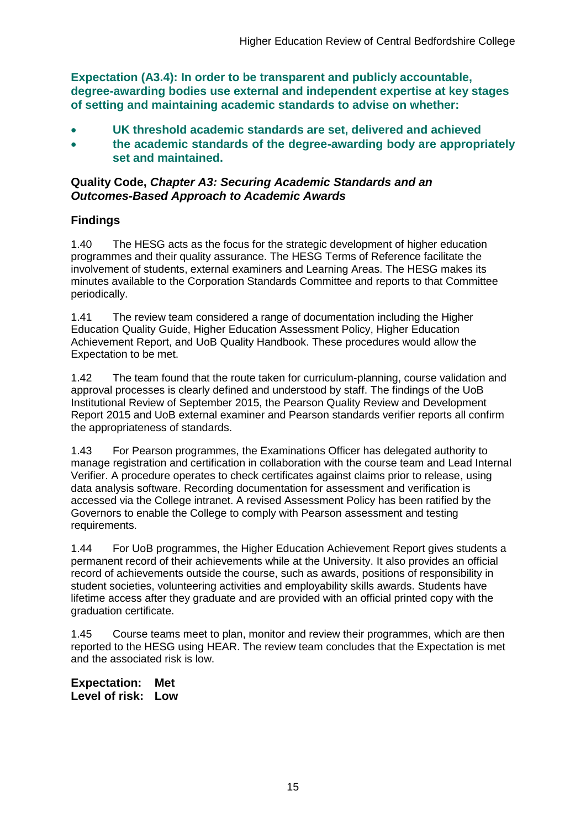**Expectation (A3.4): In order to be transparent and publicly accountable, degree-awarding bodies use external and independent expertise at key stages of setting and maintaining academic standards to advise on whether:**

- **UK threshold academic standards are set, delivered and achieved**
- **the academic standards of the degree-awarding body are appropriately set and maintained.**

### **Quality Code,** *Chapter A3: Securing Academic Standards and an Outcomes-Based Approach to Academic Awards*

## **Findings**

1.40 The HESG acts as the focus for the strategic development of higher education programmes and their quality assurance. The HESG Terms of Reference facilitate the involvement of students, external examiners and Learning Areas. The HESG makes its minutes available to the Corporation Standards Committee and reports to that Committee periodically.

1.41 The review team considered a range of documentation including the Higher Education Quality Guide, Higher Education Assessment Policy, Higher Education Achievement Report, and UoB Quality Handbook. These procedures would allow the Expectation to be met.

1.42 The team found that the route taken for curriculum-planning, course validation and approval processes is clearly defined and understood by staff. The findings of the UoB Institutional Review of September 2015, the Pearson Quality Review and Development Report 2015 and UoB external examiner and Pearson standards verifier reports all confirm the appropriateness of standards.

1.43 For Pearson programmes, the Examinations Officer has delegated authority to manage registration and certification in collaboration with the course team and Lead Internal Verifier. A procedure operates to check certificates against claims prior to release, using data analysis software. Recording documentation for assessment and verification is accessed via the College intranet. A revised Assessment Policy has been ratified by the Governors to enable the College to comply with Pearson assessment and testing requirements.

1.44 For UoB programmes, the Higher Education Achievement Report gives students a permanent record of their achievements while at the University. It also provides an official record of achievements outside the course, such as awards, positions of responsibility in student societies, volunteering activities and employability skills awards. Students have lifetime access after they graduate and are provided with an official printed copy with the graduation certificate.

1.45 Course teams meet to plan, monitor and review their programmes, which are then reported to the HESG using HEAR. The review team concludes that the Expectation is met and the associated risk is low.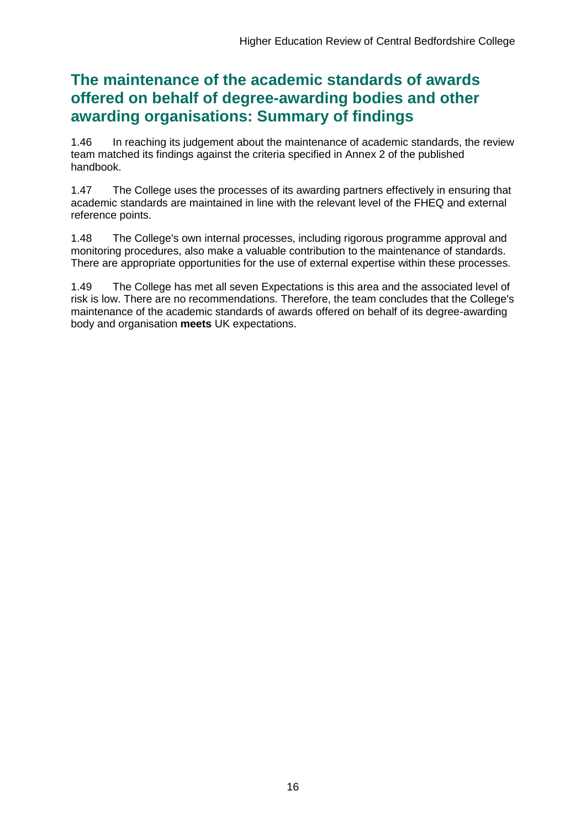## **The maintenance of the academic standards of awards offered on behalf of degree-awarding bodies and other awarding organisations: Summary of findings**

1.46 In reaching its judgement about the maintenance of academic standards, the review team matched its findings against the criteria specified in Annex 2 of the published handbook.

1.47 The College uses the processes of its awarding partners effectively in ensuring that academic standards are maintained in line with the relevant level of the FHEQ and external reference points.

1.48 The College's own internal processes, including rigorous programme approval and monitoring procedures, also make a valuable contribution to the maintenance of standards. There are appropriate opportunities for the use of external expertise within these processes.

1.49 The College has met all seven Expectations is this area and the associated level of risk is low. There are no recommendations. Therefore, the team concludes that the College's maintenance of the academic standards of awards offered on behalf of its degree-awarding body and organisation **meets** UK expectations.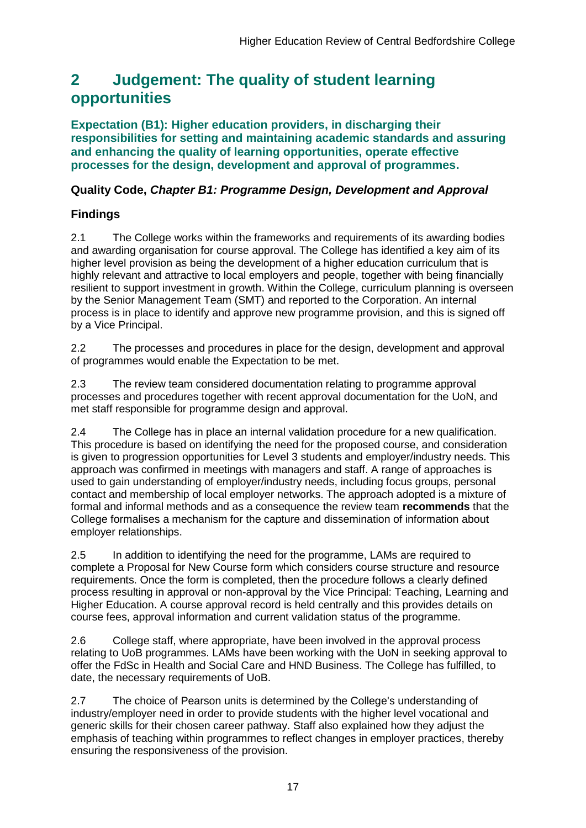## <span id="page-17-0"></span>**2 Judgement: The quality of student learning opportunities**

**Expectation (B1): Higher education providers, in discharging their responsibilities for setting and maintaining academic standards and assuring and enhancing the quality of learning opportunities, operate effective processes for the design, development and approval of programmes.**

### **Quality Code,** *Chapter B1: Programme Design, Development and Approval*

### **Findings**

2.1 The College works within the frameworks and requirements of its awarding bodies and awarding organisation for course approval. The College has identified a key aim of its higher level provision as being the development of a higher education curriculum that is highly relevant and attractive to local employers and people, together with being financially resilient to support investment in growth. Within the College, curriculum planning is overseen by the Senior Management Team (SMT) and reported to the Corporation. An internal process is in place to identify and approve new programme provision, and this is signed off by a Vice Principal.

2.2 The processes and procedures in place for the design, development and approval of programmes would enable the Expectation to be met.

2.3 The review team considered documentation relating to programme approval processes and procedures together with recent approval documentation for the UoN, and met staff responsible for programme design and approval.

2.4 The College has in place an internal validation procedure for a new qualification. This procedure is based on identifying the need for the proposed course, and consideration is given to progression opportunities for Level 3 students and employer/industry needs. This approach was confirmed in meetings with managers and staff. A range of approaches is used to gain understanding of employer/industry needs, including focus groups, personal contact and membership of local employer networks. The approach adopted is a mixture of formal and informal methods and as a consequence the review team **recommends** that the College formalises a mechanism for the capture and dissemination of information about employer relationships.

2.5 In addition to identifying the need for the programme, LAMs are required to complete a Proposal for New Course form which considers course structure and resource requirements. Once the form is completed, then the procedure follows a clearly defined process resulting in approval or non-approval by the Vice Principal: Teaching, Learning and Higher Education. A course approval record is held centrally and this provides details on course fees, approval information and current validation status of the programme.

2.6 College staff, where appropriate, have been involved in the approval process relating to UoB programmes. LAMs have been working with the UoN in seeking approval to offer the FdSc in Health and Social Care and HND Business. The College has fulfilled, to date, the necessary requirements of UoB.

2.7 The choice of Pearson units is determined by the College's understanding of industry/employer need in order to provide students with the higher level vocational and generic skills for their chosen career pathway. Staff also explained how they adjust the emphasis of teaching within programmes to reflect changes in employer practices, thereby ensuring the responsiveness of the provision.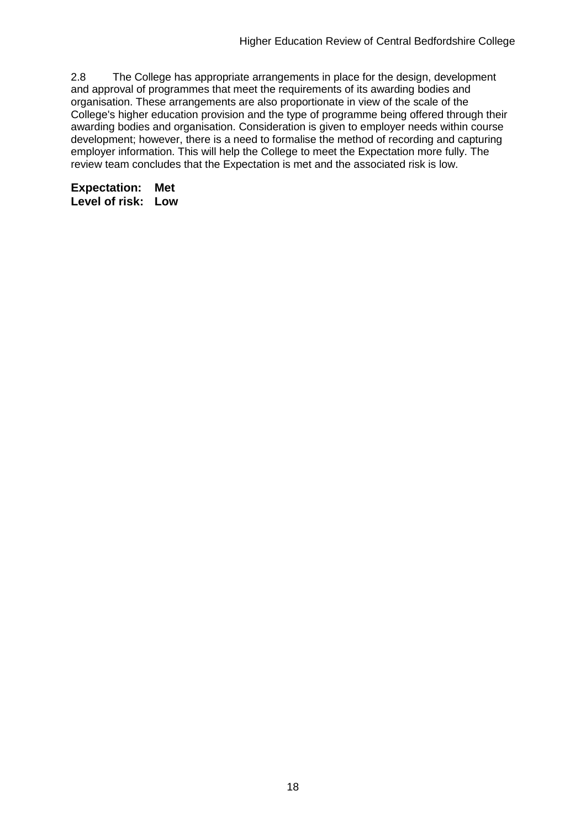2.8 The College has appropriate arrangements in place for the design, development and approval of programmes that meet the requirements of its awarding bodies and organisation. These arrangements are also proportionate in view of the scale of the College's higher education provision and the type of programme being offered through their awarding bodies and organisation. Consideration is given to employer needs within course development; however, there is a need to formalise the method of recording and capturing employer information. This will help the College to meet the Expectation more fully. The review team concludes that the Expectation is met and the associated risk is low.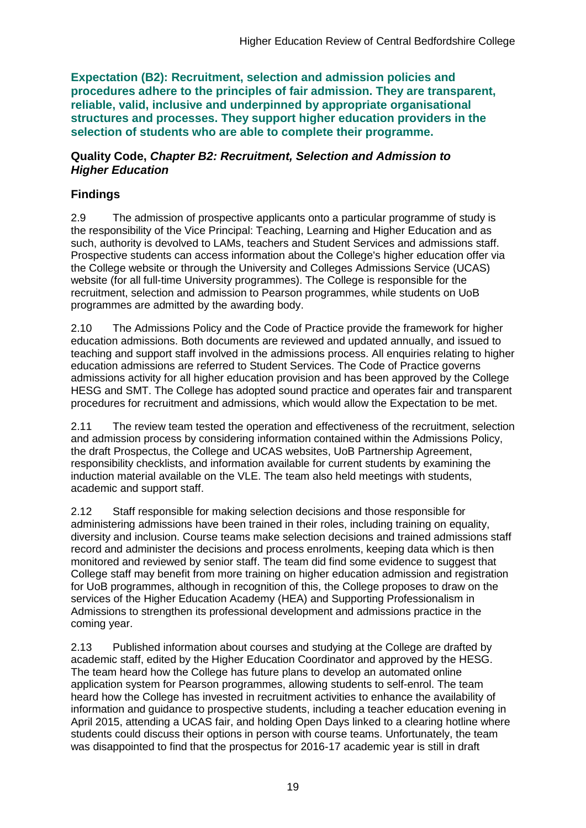**Expectation (B2): Recruitment, selection and admission policies and procedures adhere to the principles of fair admission. They are transparent, reliable, valid, inclusive and underpinned by appropriate organisational structures and processes. They support higher education providers in the selection of students who are able to complete their programme.**

#### **Quality Code,** *Chapter B2: Recruitment, Selection and Admission to Higher Education*

### **Findings**

2.9 The admission of prospective applicants onto a particular programme of study is the responsibility of the Vice Principal: Teaching, Learning and Higher Education and as such, authority is devolved to LAMs, teachers and Student Services and admissions staff. Prospective students can access information about the College's higher education offer via the College website or through the University and Colleges Admissions Service (UCAS) website (for all full-time University programmes). The College is responsible for the recruitment, selection and admission to Pearson programmes, while students on UoB programmes are admitted by the awarding body.

2.10 The Admissions Policy and the Code of Practice provide the framework for higher education admissions. Both documents are reviewed and updated annually, and issued to teaching and support staff involved in the admissions process. All enquiries relating to higher education admissions are referred to Student Services. The Code of Practice governs admissions activity for all higher education provision and has been approved by the College HESG and SMT. The College has adopted sound practice and operates fair and transparent procedures for recruitment and admissions, which would allow the Expectation to be met.

2.11 The review team tested the operation and effectiveness of the recruitment, selection and admission process by considering information contained within the Admissions Policy, the draft Prospectus, the College and UCAS websites, UoB Partnership Agreement, responsibility checklists, and information available for current students by examining the induction material available on the VLE. The team also held meetings with students, academic and support staff.

2.12 Staff responsible for making selection decisions and those responsible for administering admissions have been trained in their roles, including training on equality, diversity and inclusion. Course teams make selection decisions and trained admissions staff record and administer the decisions and process enrolments, keeping data which is then monitored and reviewed by senior staff. The team did find some evidence to suggest that College staff may benefit from more training on higher education admission and registration for UoB programmes, although in recognition of this, the College proposes to draw on the services of the Higher Education Academy (HEA) and Supporting Professionalism in Admissions to strengthen its professional development and admissions practice in the coming year.

2.13 Published information about courses and studying at the College are drafted by academic staff, edited by the Higher Education Coordinator and approved by the HESG. The team heard how the College has future plans to develop an automated online application system for Pearson programmes, allowing students to self-enrol. The team heard how the College has invested in recruitment activities to enhance the availability of information and guidance to prospective students, including a teacher education evening in April 2015, attending a UCAS fair, and holding Open Days linked to a clearing hotline where students could discuss their options in person with course teams. Unfortunately, the team was disappointed to find that the prospectus for 2016-17 academic year is still in draft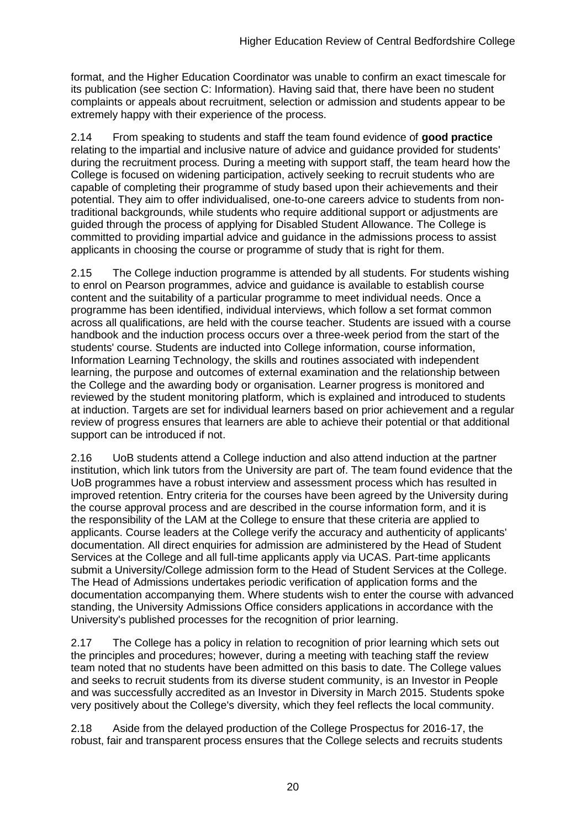format, and the Higher Education Coordinator was unable to confirm an exact timescale for its publication (see section C: Information). Having said that, there have been no student complaints or appeals about recruitment, selection or admission and students appear to be extremely happy with their experience of the process.

2.14 From speaking to students and staff the team found evidence of **good practice** relating to the impartial and inclusive nature of advice and guidance provided for students' during the recruitment process*.* During a meeting with support staff, the team heard how the College is focused on widening participation, actively seeking to recruit students who are capable of completing their programme of study based upon their achievements and their potential. They aim to offer individualised, one-to-one careers advice to students from nontraditional backgrounds, while students who require additional support or adjustments are guided through the process of applying for Disabled Student Allowance. The College is committed to providing impartial advice and guidance in the admissions process to assist applicants in choosing the course or programme of study that is right for them.

2.15 The College induction programme is attended by all students. For students wishing to enrol on Pearson programmes, advice and guidance is available to establish course content and the suitability of a particular programme to meet individual needs. Once a programme has been identified, individual interviews, which follow a set format common across all qualifications, are held with the course teacher. Students are issued with a course handbook and the induction process occurs over a three-week period from the start of the students' course. Students are inducted into College information, course information, Information Learning Technology, the skills and routines associated with independent learning, the purpose and outcomes of external examination and the relationship between the College and the awarding body or organisation. Learner progress is monitored and reviewed by the student monitoring platform, which is explained and introduced to students at induction. Targets are set for individual learners based on prior achievement and a regular review of progress ensures that learners are able to achieve their potential or that additional support can be introduced if not.

2.16 UoB students attend a College induction and also attend induction at the partner institution, which link tutors from the University are part of. The team found evidence that the UoB programmes have a robust interview and assessment process which has resulted in improved retention. Entry criteria for the courses have been agreed by the University during the course approval process and are described in the course information form, and it is the responsibility of the LAM at the College to ensure that these criteria are applied to applicants. Course leaders at the College verify the accuracy and authenticity of applicants' documentation. All direct enquiries for admission are administered by the Head of Student Services at the College and all full-time applicants apply via UCAS. Part-time applicants submit a University/College admission form to the Head of Student Services at the College. The Head of Admissions undertakes periodic verification of application forms and the documentation accompanying them. Where students wish to enter the course with advanced standing, the University Admissions Office considers applications in accordance with the University's published processes for the recognition of prior learning.

2.17 The College has a policy in relation to recognition of prior learning which sets out the principles and procedures; however, during a meeting with teaching staff the review team noted that no students have been admitted on this basis to date. The College values and seeks to recruit students from its diverse student community, is an Investor in People and was successfully accredited as an Investor in Diversity in March 2015. Students spoke very positively about the College's diversity, which they feel reflects the local community.

2.18 Aside from the delayed production of the College Prospectus for 2016-17, the robust, fair and transparent process ensures that the College selects and recruits students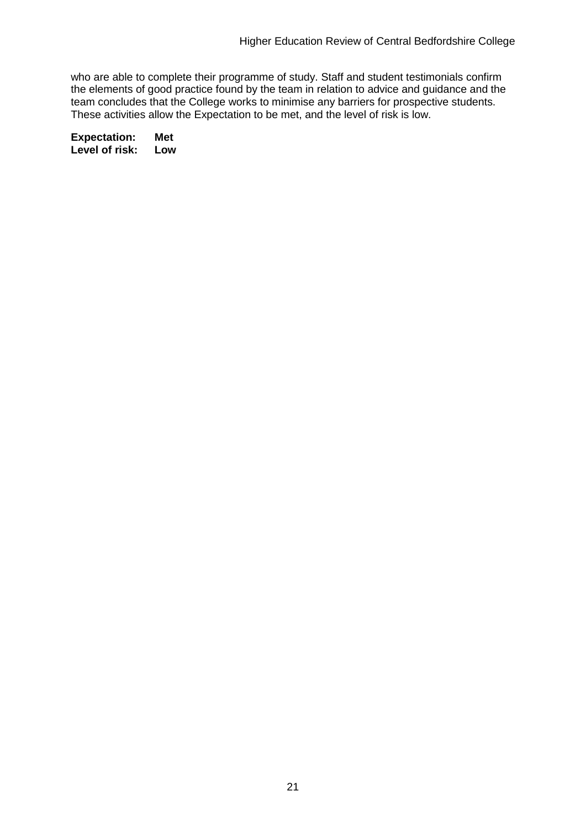who are able to complete their programme of study. Staff and student testimonials confirm the elements of good practice found by the team in relation to advice and guidance and the team concludes that the College works to minimise any barriers for prospective students. These activities allow the Expectation to be met, and the level of risk is low.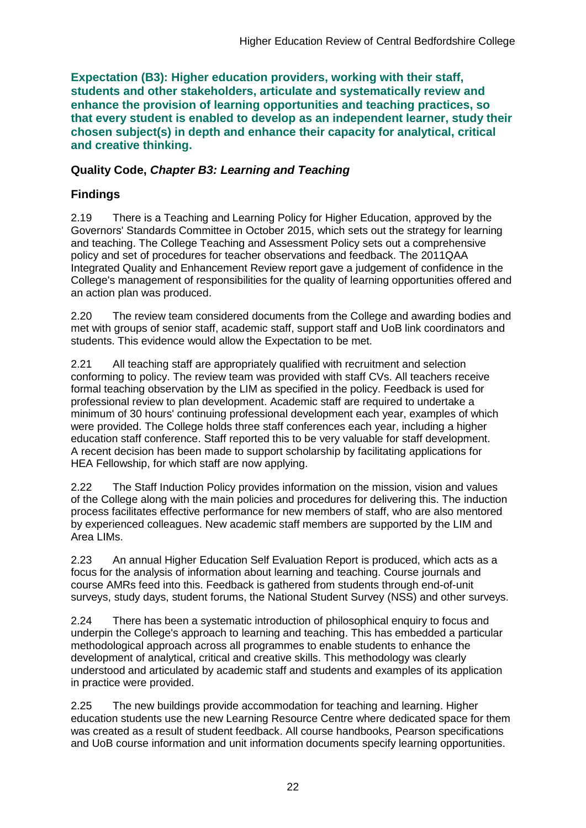**Expectation (B3): Higher education providers, working with their staff, students and other stakeholders, articulate and systematically review and enhance the provision of learning opportunities and teaching practices, so that every student is enabled to develop as an independent learner, study their chosen subject(s) in depth and enhance their capacity for analytical, critical and creative thinking.**

### **Quality Code,** *Chapter B3: Learning and Teaching*

### **Findings**

2.19 There is a Teaching and Learning Policy for Higher Education, approved by the Governors' Standards Committee in October 2015, which sets out the strategy for learning and teaching. The College Teaching and Assessment Policy sets out a comprehensive policy and set of procedures for teacher observations and feedback. The 2011QAA Integrated Quality and Enhancement Review report gave a judgement of confidence in the College's management of responsibilities for the quality of learning opportunities offered and an action plan was produced.

2.20 The review team considered documents from the College and awarding bodies and met with groups of senior staff, academic staff, support staff and UoB link coordinators and students. This evidence would allow the Expectation to be met.

2.21 All teaching staff are appropriately qualified with recruitment and selection conforming to policy. The review team was provided with staff CVs. All teachers receive formal teaching observation by the LIM as specified in the policy. Feedback is used for professional review to plan development. Academic staff are required to undertake a minimum of 30 hours' continuing professional development each year, examples of which were provided. The College holds three staff conferences each year, including a higher education staff conference. Staff reported this to be very valuable for staff development. A recent decision has been made to support scholarship by facilitating applications for HEA Fellowship, for which staff are now applying.

2.22 The Staff Induction Policy provides information on the mission, vision and values of the College along with the main policies and procedures for delivering this. The induction process facilitates effective performance for new members of staff, who are also mentored by experienced colleagues. New academic staff members are supported by the LIM and Area LIMs.

2.23 An annual Higher Education Self Evaluation Report is produced, which acts as a focus for the analysis of information about learning and teaching. Course journals and course AMRs feed into this. Feedback is gathered from students through end-of-unit surveys, study days, student forums, the National Student Survey (NSS) and other surveys.

2.24 There has been a systematic introduction of philosophical enquiry to focus and underpin the College's approach to learning and teaching. This has embedded a particular methodological approach across all programmes to enable students to enhance the development of analytical, critical and creative skills. This methodology was clearly understood and articulated by academic staff and students and examples of its application in practice were provided.

2.25 The new buildings provide accommodation for teaching and learning. Higher education students use the new Learning Resource Centre where dedicated space for them was created as a result of student feedback. All course handbooks, Pearson specifications and UoB course information and unit information documents specify learning opportunities.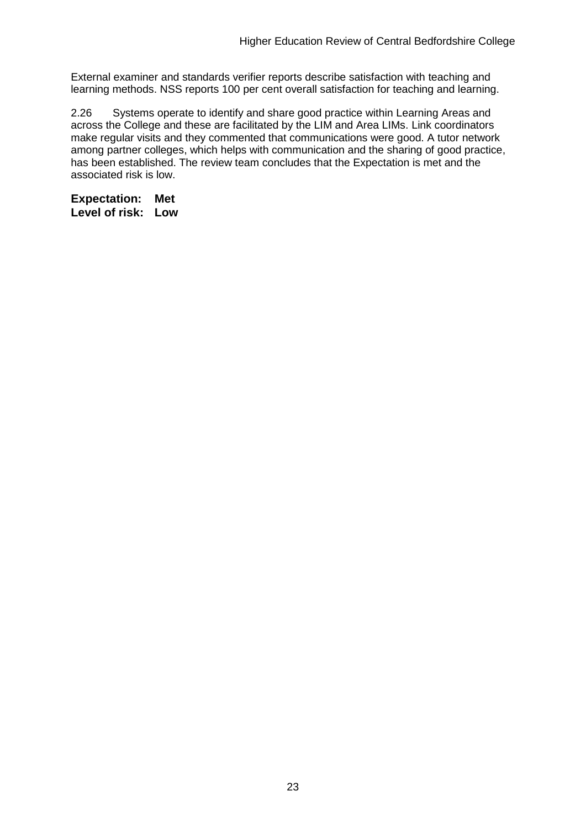External examiner and standards verifier reports describe satisfaction with teaching and learning methods. NSS reports 100 per cent overall satisfaction for teaching and learning.

2.26 Systems operate to identify and share good practice within Learning Areas and across the College and these are facilitated by the LIM and Area LIMs. Link coordinators make regular visits and they commented that communications were good. A tutor network among partner colleges, which helps with communication and the sharing of good practice, has been established. The review team concludes that the Expectation is met and the associated risk is low.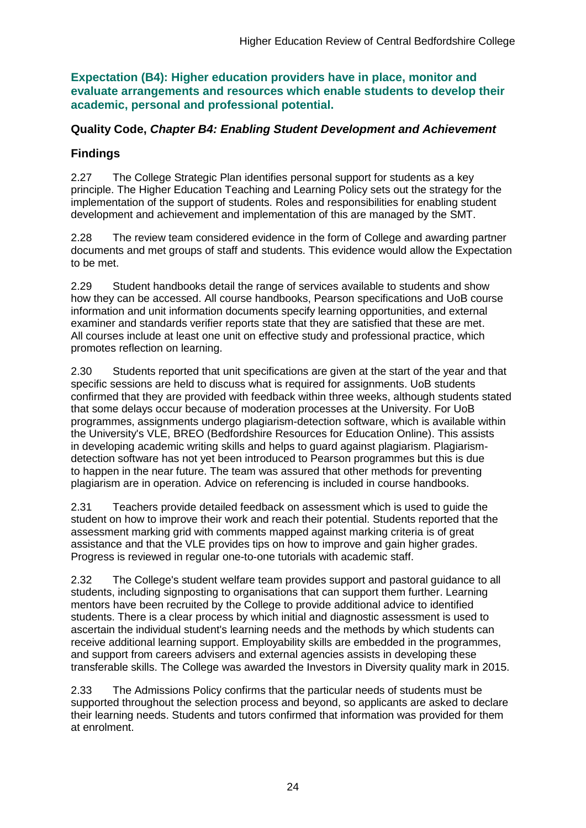**Expectation (B4): Higher education providers have in place, monitor and evaluate arrangements and resources which enable students to develop their academic, personal and professional potential.**

### **Quality Code,** *Chapter B4: Enabling Student Development and Achievement*

## **Findings**

2.27 The College Strategic Plan identifies personal support for students as a key principle. The Higher Education Teaching and Learning Policy sets out the strategy for the implementation of the support of students. Roles and responsibilities for enabling student development and achievement and implementation of this are managed by the SMT.

2.28 The review team considered evidence in the form of College and awarding partner documents and met groups of staff and students. This evidence would allow the Expectation to be met.

2.29 Student handbooks detail the range of services available to students and show how they can be accessed. All course handbooks, Pearson specifications and UoB course information and unit information documents specify learning opportunities, and external examiner and standards verifier reports state that they are satisfied that these are met. All courses include at least one unit on effective study and professional practice, which promotes reflection on learning.

2.30 Students reported that unit specifications are given at the start of the year and that specific sessions are held to discuss what is required for assignments. UoB students confirmed that they are provided with feedback within three weeks, although students stated that some delays occur because of moderation processes at the University. For UoB programmes, assignments undergo plagiarism-detection software, which is available within the University's VLE, BREO (Bedfordshire Resources for Education Online). This assists in developing academic writing skills and helps to guard against plagiarism. Plagiarismdetection software has not yet been introduced to Pearson programmes but this is due to happen in the near future. The team was assured that other methods for preventing plagiarism are in operation. Advice on referencing is included in course handbooks.

2.31 Teachers provide detailed feedback on assessment which is used to guide the student on how to improve their work and reach their potential. Students reported that the assessment marking grid with comments mapped against marking criteria is of great assistance and that the VLE provides tips on how to improve and gain higher grades. Progress is reviewed in regular one-to-one tutorials with academic staff.

2.32 The College's student welfare team provides support and pastoral guidance to all students, including signposting to organisations that can support them further. Learning mentors have been recruited by the College to provide additional advice to identified students. There is a clear process by which initial and diagnostic assessment is used to ascertain the individual student's learning needs and the methods by which students can receive additional learning support. Employability skills are embedded in the programmes, and support from careers advisers and external agencies assists in developing these transferable skills. The College was awarded the Investors in Diversity quality mark in 2015.

2.33 The Admissions Policy confirms that the particular needs of students must be supported throughout the selection process and beyond, so applicants are asked to declare their learning needs. Students and tutors confirmed that information was provided for them at enrolment.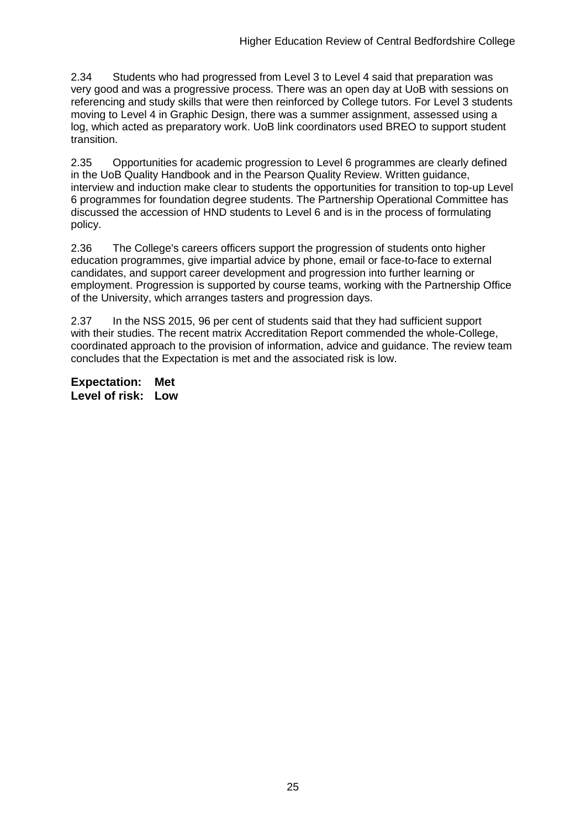2.34 Students who had progressed from Level 3 to Level 4 said that preparation was very good and was a progressive process. There was an open day at UoB with sessions on referencing and study skills that were then reinforced by College tutors. For Level 3 students moving to Level 4 in Graphic Design, there was a summer assignment, assessed using a log, which acted as preparatory work. UoB link coordinators used BREO to support student transition.

2.35 Opportunities for academic progression to Level 6 programmes are clearly defined in the UoB Quality Handbook and in the Pearson Quality Review. Written guidance, interview and induction make clear to students the opportunities for transition to top-up Level 6 programmes for foundation degree students. The Partnership Operational Committee has discussed the accession of HND students to Level 6 and is in the process of formulating policy.

2.36 The College's careers officers support the progression of students onto higher education programmes, give impartial advice by phone, email or face-to-face to external candidates, and support career development and progression into further learning or employment. Progression is supported by course teams, working with the Partnership Office of the University, which arranges tasters and progression days.

2.37 In the NSS 2015, 96 per cent of students said that they had sufficient support with their studies. The recent matrix Accreditation Report commended the whole-College, coordinated approach to the provision of information, advice and guidance. The review team concludes that the Expectation is met and the associated risk is low.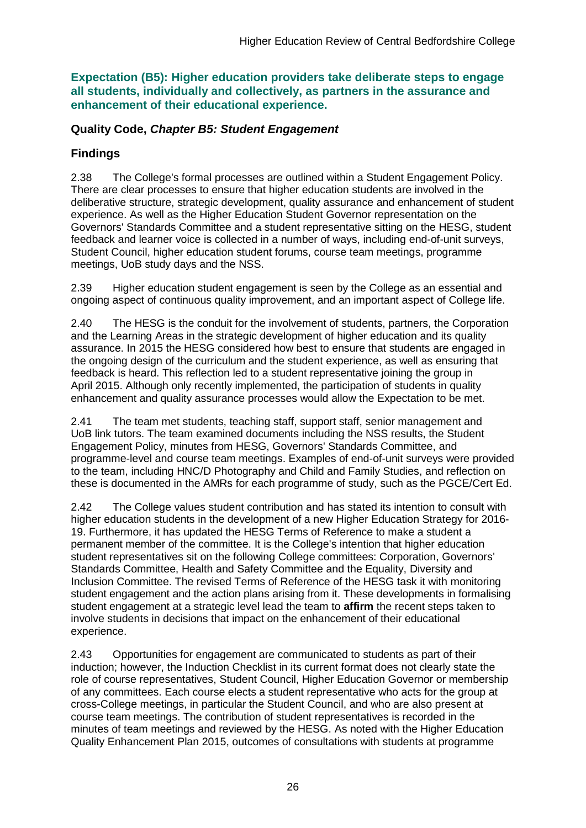**Expectation (B5): Higher education providers take deliberate steps to engage all students, individually and collectively, as partners in the assurance and enhancement of their educational experience.**

#### **Quality Code,** *Chapter B5: Student Engagement*

### **Findings**

2.38 The College's formal processes are outlined within a Student Engagement Policy. There are clear processes to ensure that higher education students are involved in the deliberative structure, strategic development, quality assurance and enhancement of student experience. As well as the Higher Education Student Governor representation on the Governors' Standards Committee and a student representative sitting on the HESG, student feedback and learner voice is collected in a number of ways, including end-of-unit surveys, Student Council, higher education student forums, course team meetings, programme meetings, UoB study days and the NSS.

2.39 Higher education student engagement is seen by the College as an essential and ongoing aspect of continuous quality improvement, and an important aspect of College life.

2.40 The HESG is the conduit for the involvement of students, partners, the Corporation and the Learning Areas in the strategic development of higher education and its quality assurance. In 2015 the HESG considered how best to ensure that students are engaged in the ongoing design of the curriculum and the student experience, as well as ensuring that feedback is heard. This reflection led to a student representative joining the group in April 2015. Although only recently implemented, the participation of students in quality enhancement and quality assurance processes would allow the Expectation to be met.

2.41 The team met students, teaching staff, support staff, senior management and UoB link tutors. The team examined documents including the NSS results, the Student Engagement Policy, minutes from HESG, Governors' Standards Committee, and programme-level and course team meetings. Examples of end-of-unit surveys were provided to the team, including HNC/D Photography and Child and Family Studies, and reflection on these is documented in the AMRs for each programme of study, such as the PGCE/Cert Ed.

2.42 The College values student contribution and has stated its intention to consult with higher education students in the development of a new Higher Education Strategy for 2016- 19. Furthermore, it has updated the HESG Terms of Reference to make a student a permanent member of the committee. It is the College's intention that higher education student representatives sit on the following College committees: Corporation, Governors' Standards Committee, Health and Safety Committee and the Equality, Diversity and Inclusion Committee. The revised Terms of Reference of the HESG task it with monitoring student engagement and the action plans arising from it. These developments in formalising student engagement at a strategic level lead the team to **affirm** the recent steps taken to involve students in decisions that impact on the enhancement of their educational experience.

2.43 Opportunities for engagement are communicated to students as part of their induction; however, the Induction Checklist in its current format does not clearly state the role of course representatives, Student Council, Higher Education Governor or membership of any committees. Each course elects a student representative who acts for the group at cross-College meetings, in particular the Student Council, and who are also present at course team meetings. The contribution of student representatives is recorded in the minutes of team meetings and reviewed by the HESG. As noted with the Higher Education Quality Enhancement Plan 2015, outcomes of consultations with students at programme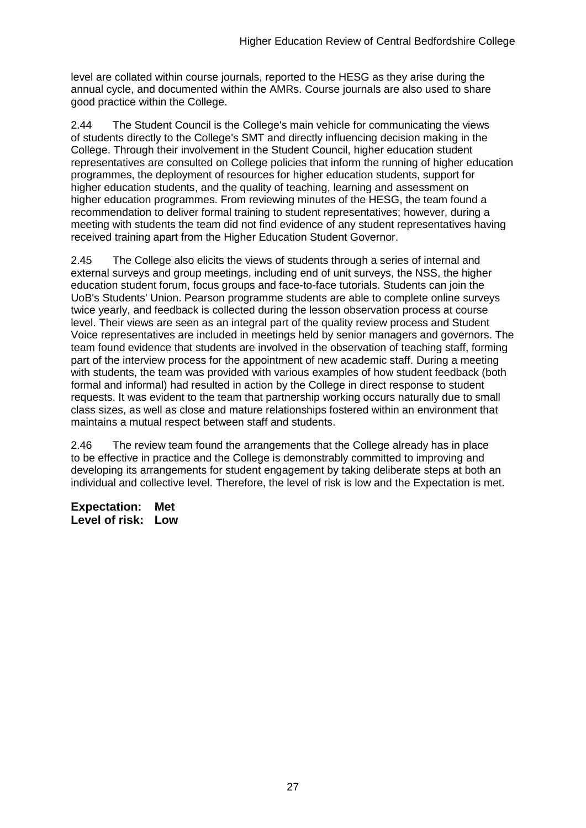level are collated within course journals, reported to the HESG as they arise during the annual cycle, and documented within the AMRs. Course journals are also used to share good practice within the College.

2.44 The Student Council is the College's main vehicle for communicating the views of students directly to the College's SMT and directly influencing decision making in the College. Through their involvement in the Student Council, higher education student representatives are consulted on College policies that inform the running of higher education programmes, the deployment of resources for higher education students, support for higher education students, and the quality of teaching, learning and assessment on higher education programmes. From reviewing minutes of the HESG, the team found a recommendation to deliver formal training to student representatives; however, during a meeting with students the team did not find evidence of any student representatives having received training apart from the Higher Education Student Governor.

2.45 The College also elicits the views of students through a series of internal and external surveys and group meetings, including end of unit surveys, the NSS, the higher education student forum, focus groups and face-to-face tutorials. Students can join the UoB's Students' Union. Pearson programme students are able to complete online surveys twice yearly, and feedback is collected during the lesson observation process at course level. Their views are seen as an integral part of the quality review process and Student Voice representatives are included in meetings held by senior managers and governors. The team found evidence that students are involved in the observation of teaching staff, forming part of the interview process for the appointment of new academic staff. During a meeting with students, the team was provided with various examples of how student feedback (both formal and informal) had resulted in action by the College in direct response to student requests. It was evident to the team that partnership working occurs naturally due to small class sizes, as well as close and mature relationships fostered within an environment that maintains a mutual respect between staff and students.

2.46 The review team found the arrangements that the College already has in place to be effective in practice and the College is demonstrably committed to improving and developing its arrangements for student engagement by taking deliberate steps at both an individual and collective level. Therefore, the level of risk is low and the Expectation is met.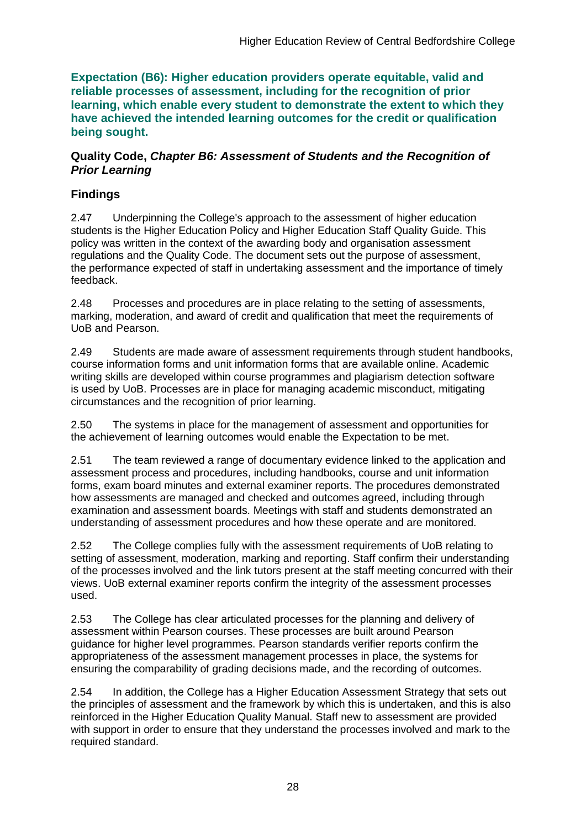**Expectation (B6): Higher education providers operate equitable, valid and reliable processes of assessment, including for the recognition of prior learning, which enable every student to demonstrate the extent to which they have achieved the intended learning outcomes for the credit or qualification being sought.**

### **Quality Code,** *Chapter B6: Assessment of Students and the Recognition of Prior Learning*

## **Findings**

2.47 Underpinning the College's approach to the assessment of higher education students is the Higher Education Policy and Higher Education Staff Quality Guide. This policy was written in the context of the awarding body and organisation assessment regulations and the Quality Code. The document sets out the purpose of assessment, the performance expected of staff in undertaking assessment and the importance of timely feedback.

2.48 Processes and procedures are in place relating to the setting of assessments, marking, moderation, and award of credit and qualification that meet the requirements of UoB and Pearson.

2.49 Students are made aware of assessment requirements through student handbooks, course information forms and unit information forms that are available online. Academic writing skills are developed within course programmes and plagiarism detection software is used by UoB. Processes are in place for managing academic misconduct, mitigating circumstances and the recognition of prior learning.

2.50 The systems in place for the management of assessment and opportunities for the achievement of learning outcomes would enable the Expectation to be met.

2.51 The team reviewed a range of documentary evidence linked to the application and assessment process and procedures, including handbooks, course and unit information forms, exam board minutes and external examiner reports. The procedures demonstrated how assessments are managed and checked and outcomes agreed, including through examination and assessment boards. Meetings with staff and students demonstrated an understanding of assessment procedures and how these operate and are monitored.

2.52 The College complies fully with the assessment requirements of UoB relating to setting of assessment, moderation, marking and reporting. Staff confirm their understanding of the processes involved and the link tutors present at the staff meeting concurred with their views. UoB external examiner reports confirm the integrity of the assessment processes used.

2.53 The College has clear articulated processes for the planning and delivery of assessment within Pearson courses. These processes are built around Pearson guidance for higher level programmes. Pearson standards verifier reports confirm the appropriateness of the assessment management processes in place, the systems for ensuring the comparability of grading decisions made, and the recording of outcomes.

2.54 In addition, the College has a Higher Education Assessment Strategy that sets out the principles of assessment and the framework by which this is undertaken, and this is also reinforced in the Higher Education Quality Manual. Staff new to assessment are provided with support in order to ensure that they understand the processes involved and mark to the required standard.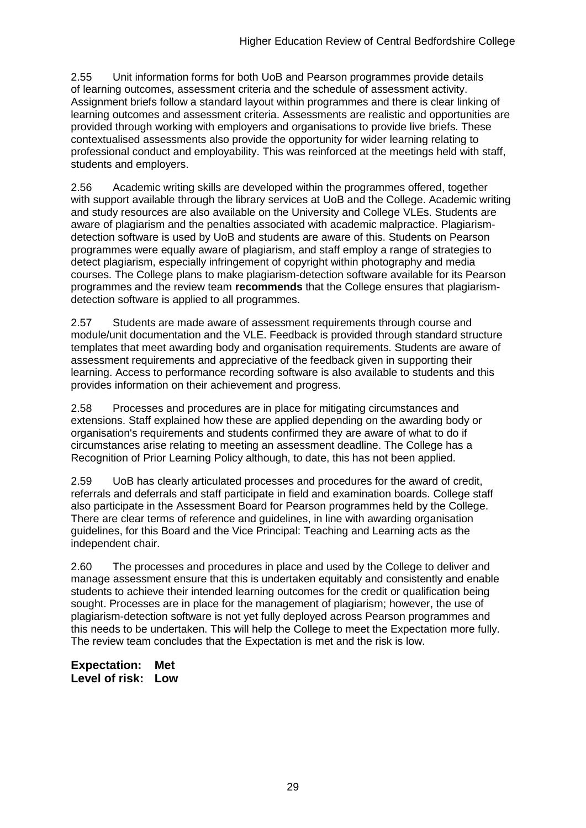2.55 Unit information forms for both UoB and Pearson programmes provide details of learning outcomes, assessment criteria and the schedule of assessment activity. Assignment briefs follow a standard layout within programmes and there is clear linking of learning outcomes and assessment criteria. Assessments are realistic and opportunities are provided through working with employers and organisations to provide live briefs. These contextualised assessments also provide the opportunity for wider learning relating to professional conduct and employability. This was reinforced at the meetings held with staff, students and employers.

2.56 Academic writing skills are developed within the programmes offered, together with support available through the library services at UoB and the College. Academic writing and study resources are also available on the University and College VLEs. Students are aware of plagiarism and the penalties associated with academic malpractice. Plagiarismdetection software is used by UoB and students are aware of this. Students on Pearson programmes were equally aware of plagiarism, and staff employ a range of strategies to detect plagiarism, especially infringement of copyright within photography and media courses. The College plans to make plagiarism-detection software available for its Pearson programmes and the review team **recommends** that the College ensures that plagiarismdetection software is applied to all programmes.

2.57 Students are made aware of assessment requirements through course and module/unit documentation and the VLE. Feedback is provided through standard structure templates that meet awarding body and organisation requirements. Students are aware of assessment requirements and appreciative of the feedback given in supporting their learning. Access to performance recording software is also available to students and this provides information on their achievement and progress.

2.58 Processes and procedures are in place for mitigating circumstances and extensions. Staff explained how these are applied depending on the awarding body or organisation's requirements and students confirmed they are aware of what to do if circumstances arise relating to meeting an assessment deadline. The College has a Recognition of Prior Learning Policy although, to date, this has not been applied.

2.59 UoB has clearly articulated processes and procedures for the award of credit, referrals and deferrals and staff participate in field and examination boards. College staff also participate in the Assessment Board for Pearson programmes held by the College. There are clear terms of reference and guidelines, in line with awarding organisation guidelines, for this Board and the Vice Principal: Teaching and Learning acts as the independent chair.

2.60 The processes and procedures in place and used by the College to deliver and manage assessment ensure that this is undertaken equitably and consistently and enable students to achieve their intended learning outcomes for the credit or qualification being sought. Processes are in place for the management of plagiarism; however, the use of plagiarism-detection software is not yet fully deployed across Pearson programmes and this needs to be undertaken. This will help the College to meet the Expectation more fully. The review team concludes that the Expectation is met and the risk is low.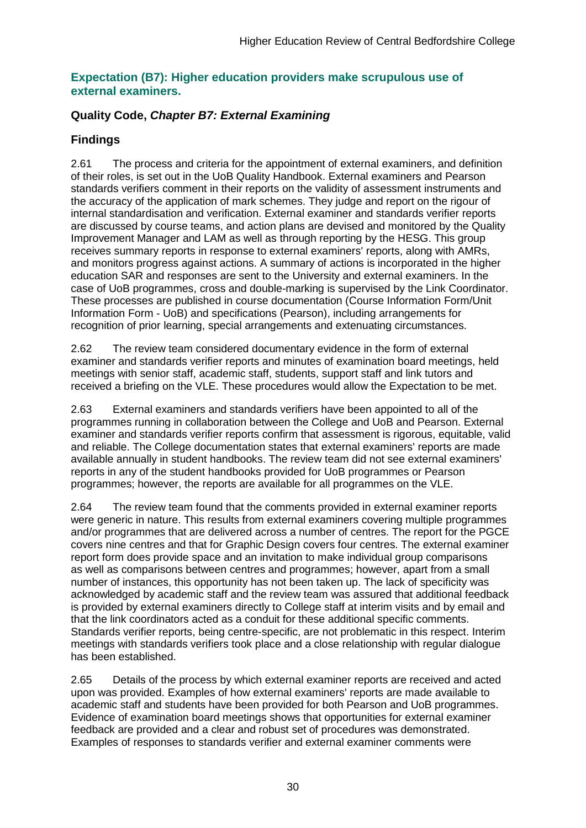#### **Expectation (B7): Higher education providers make scrupulous use of external examiners.**

### **Quality Code,** *Chapter B7: External Examining*

## **Findings**

2.61 The process and criteria for the appointment of external examiners, and definition of their roles, is set out in the UoB Quality Handbook. External examiners and Pearson standards verifiers comment in their reports on the validity of assessment instruments and the accuracy of the application of mark schemes. They judge and report on the rigour of internal standardisation and verification. External examiner and standards verifier reports are discussed by course teams, and action plans are devised and monitored by the Quality Improvement Manager and LAM as well as through reporting by the HESG. This group receives summary reports in response to external examiners' reports, along with AMRs, and monitors progress against actions. A summary of actions is incorporated in the higher education SAR and responses are sent to the University and external examiners. In the case of UoB programmes, cross and double-marking is supervised by the Link Coordinator. These processes are published in course documentation (Course Information Form/Unit Information Form - UoB) and specifications (Pearson), including arrangements for recognition of prior learning, special arrangements and extenuating circumstances.

2.62 The review team considered documentary evidence in the form of external examiner and standards verifier reports and minutes of examination board meetings, held meetings with senior staff, academic staff, students, support staff and link tutors and received a briefing on the VLE. These procedures would allow the Expectation to be met.

2.63 External examiners and standards verifiers have been appointed to all of the programmes running in collaboration between the College and UoB and Pearson. External examiner and standards verifier reports confirm that assessment is rigorous, equitable, valid and reliable. The College documentation states that external examiners' reports are made available annually in student handbooks. The review team did not see external examiners' reports in any of the student handbooks provided for UoB programmes or Pearson programmes; however, the reports are available for all programmes on the VLE.

2.64 The review team found that the comments provided in external examiner reports were generic in nature. This results from external examiners covering multiple programmes and/or programmes that are delivered across a number of centres. The report for the PGCE covers nine centres and that for Graphic Design covers four centres. The external examiner report form does provide space and an invitation to make individual group comparisons as well as comparisons between centres and programmes; however, apart from a small number of instances, this opportunity has not been taken up. The lack of specificity was acknowledged by academic staff and the review team was assured that additional feedback is provided by external examiners directly to College staff at interim visits and by email and that the link coordinators acted as a conduit for these additional specific comments. Standards verifier reports, being centre-specific, are not problematic in this respect. Interim meetings with standards verifiers took place and a close relationship with regular dialogue has been established.

2.65 Details of the process by which external examiner reports are received and acted upon was provided. Examples of how external examiners' reports are made available to academic staff and students have been provided for both Pearson and UoB programmes. Evidence of examination board meetings shows that opportunities for external examiner feedback are provided and a clear and robust set of procedures was demonstrated. Examples of responses to standards verifier and external examiner comments were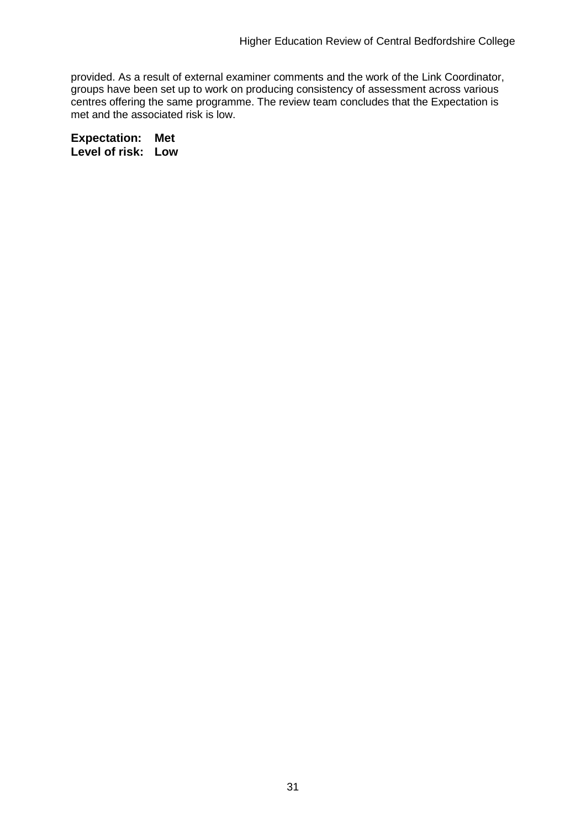provided. As a result of external examiner comments and the work of the Link Coordinator, groups have been set up to work on producing consistency of assessment across various centres offering the same programme. The review team concludes that the Expectation is met and the associated risk is low.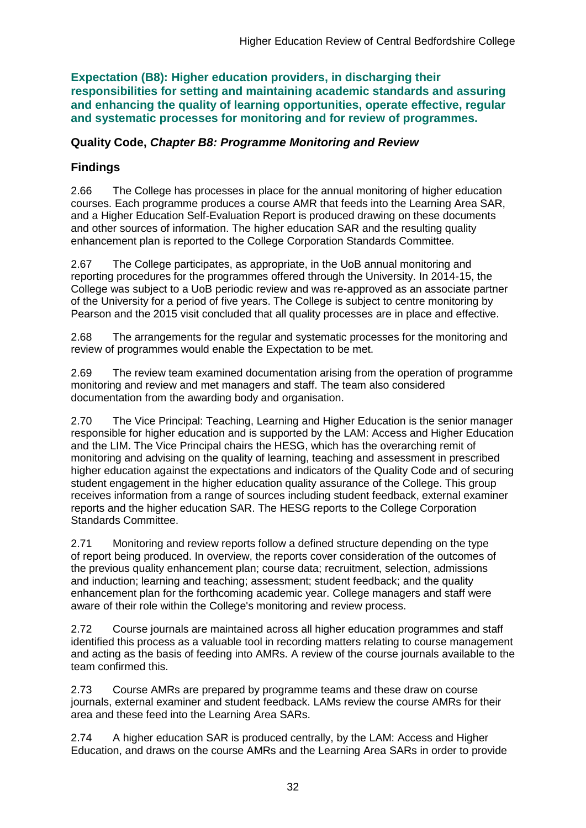**Expectation (B8): Higher education providers, in discharging their responsibilities for setting and maintaining academic standards and assuring and enhancing the quality of learning opportunities, operate effective, regular and systematic processes for monitoring and for review of programmes.**

## **Quality Code,** *Chapter B8: Programme Monitoring and Review*

## **Findings**

2.66 The College has processes in place for the annual monitoring of higher education courses. Each programme produces a course AMR that feeds into the Learning Area SAR, and a Higher Education Self-Evaluation Report is produced drawing on these documents and other sources of information. The higher education SAR and the resulting quality enhancement plan is reported to the College Corporation Standards Committee.

2.67 The College participates, as appropriate, in the UoB annual monitoring and reporting procedures for the programmes offered through the University. In 2014-15, the College was subject to a UoB periodic review and was re-approved as an associate partner of the University for a period of five years. The College is subject to centre monitoring by Pearson and the 2015 visit concluded that all quality processes are in place and effective.

2.68 The arrangements for the regular and systematic processes for the monitoring and review of programmes would enable the Expectation to be met.

2.69 The review team examined documentation arising from the operation of programme monitoring and review and met managers and staff. The team also considered documentation from the awarding body and organisation.

2.70 The Vice Principal: Teaching, Learning and Higher Education is the senior manager responsible for higher education and is supported by the LAM: Access and Higher Education and the LIM. The Vice Principal chairs the HESG, which has the overarching remit of monitoring and advising on the quality of learning, teaching and assessment in prescribed higher education against the expectations and indicators of the Quality Code and of securing student engagement in the higher education quality assurance of the College. This group receives information from a range of sources including student feedback, external examiner reports and the higher education SAR. The HESG reports to the College Corporation Standards Committee.

2.71 Monitoring and review reports follow a defined structure depending on the type of report being produced. In overview, the reports cover consideration of the outcomes of the previous quality enhancement plan; course data; recruitment, selection, admissions and induction; learning and teaching; assessment; student feedback; and the quality enhancement plan for the forthcoming academic year. College managers and staff were aware of their role within the College's monitoring and review process.

2.72 Course journals are maintained across all higher education programmes and staff identified this process as a valuable tool in recording matters relating to course management and acting as the basis of feeding into AMRs. A review of the course journals available to the team confirmed this.

2.73 Course AMRs are prepared by programme teams and these draw on course journals, external examiner and student feedback. LAMs review the course AMRs for their area and these feed into the Learning Area SARs.

2.74 A higher education SAR is produced centrally, by the LAM: Access and Higher Education, and draws on the course AMRs and the Learning Area SARs in order to provide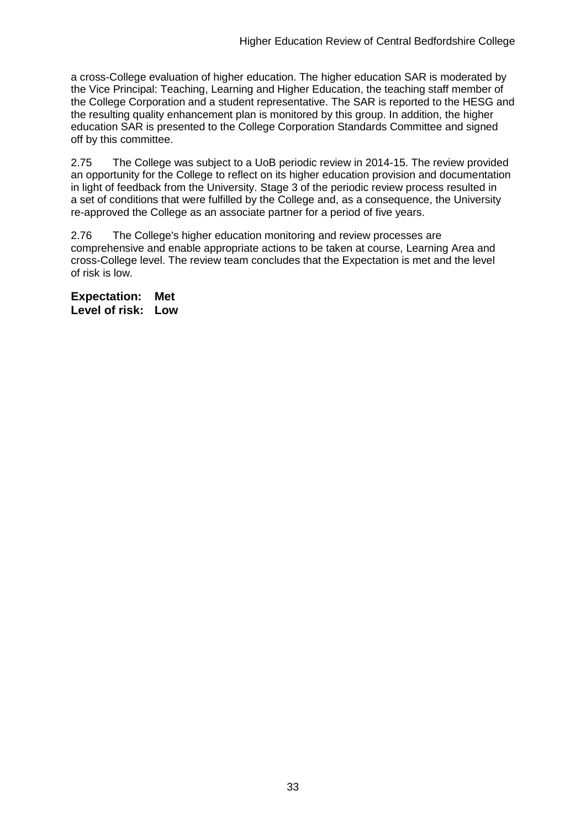a cross-College evaluation of higher education. The higher education SAR is moderated by the Vice Principal: Teaching, Learning and Higher Education, the teaching staff member of the College Corporation and a student representative. The SAR is reported to the HESG and the resulting quality enhancement plan is monitored by this group. In addition, the higher education SAR is presented to the College Corporation Standards Committee and signed off by this committee.

2.75 The College was subject to a UoB periodic review in 2014-15. The review provided an opportunity for the College to reflect on its higher education provision and documentation in light of feedback from the University. Stage 3 of the periodic review process resulted in a set of conditions that were fulfilled by the College and, as a consequence, the University re-approved the College as an associate partner for a period of five years.

2.76 The College's higher education monitoring and review processes are comprehensive and enable appropriate actions to be taken at course, Learning Area and cross-College level. The review team concludes that the Expectation is met and the level of risk is low.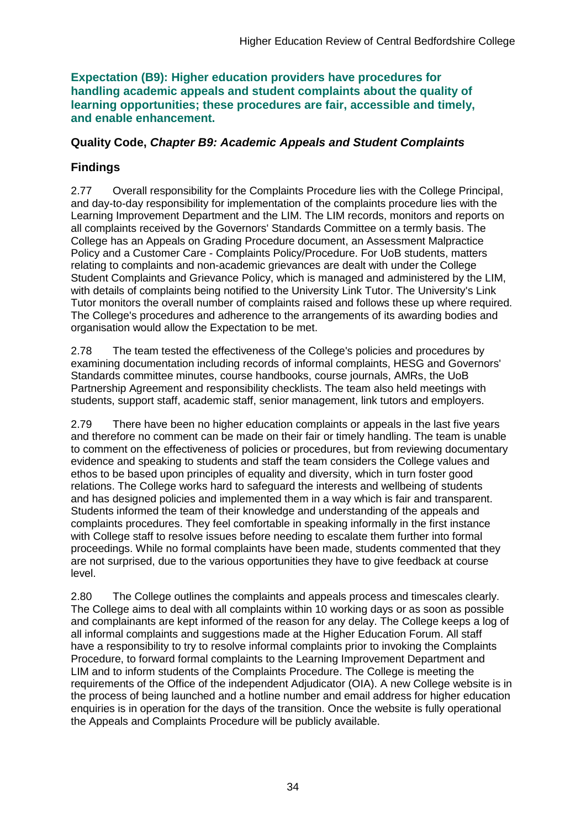**Expectation (B9): Higher education providers have procedures for handling academic appeals and student complaints about the quality of learning opportunities; these procedures are fair, accessible and timely, and enable enhancement.** 

### **Quality Code,** *Chapter B9: Academic Appeals and Student Complaints*

## **Findings**

2.77 Overall responsibility for the Complaints Procedure lies with the College Principal, and day-to-day responsibility for implementation of the complaints procedure lies with the Learning Improvement Department and the LIM. The LIM records, monitors and reports on all complaints received by the Governors' Standards Committee on a termly basis. The College has an Appeals on Grading Procedure document, an Assessment Malpractice Policy and a Customer Care - Complaints Policy/Procedure. For UoB students, matters relating to complaints and non-academic grievances are dealt with under the College Student Complaints and Grievance Policy, which is managed and administered by the LIM, with details of complaints being notified to the University Link Tutor. The University's Link Tutor monitors the overall number of complaints raised and follows these up where required. The College's procedures and adherence to the arrangements of its awarding bodies and organisation would allow the Expectation to be met.

2.78 The team tested the effectiveness of the College's policies and procedures by examining documentation including records of informal complaints, HESG and Governors' Standards committee minutes, course handbooks, course journals, AMRs, the UoB Partnership Agreement and responsibility checklists. The team also held meetings with students, support staff, academic staff, senior management, link tutors and employers.

2.79 There have been no higher education complaints or appeals in the last five years and therefore no comment can be made on their fair or timely handling. The team is unable to comment on the effectiveness of policies or procedures, but from reviewing documentary evidence and speaking to students and staff the team considers the College values and ethos to be based upon principles of equality and diversity, which in turn foster good relations. The College works hard to safeguard the interests and wellbeing of students and has designed policies and implemented them in a way which is fair and transparent. Students informed the team of their knowledge and understanding of the appeals and complaints procedures. They feel comfortable in speaking informally in the first instance with College staff to resolve issues before needing to escalate them further into formal proceedings. While no formal complaints have been made, students commented that they are not surprised, due to the various opportunities they have to give feedback at course level.

2.80 The College outlines the complaints and appeals process and timescales clearly. The College aims to deal with all complaints within 10 working days or as soon as possible and complainants are kept informed of the reason for any delay. The College keeps a log of all informal complaints and suggestions made at the Higher Education Forum. All staff have a responsibility to try to resolve informal complaints prior to invoking the Complaints Procedure, to forward formal complaints to the Learning Improvement Department and LIM and to inform students of the Complaints Procedure. The College is meeting the requirements of the Office of the independent Adjudicator (OIA). A new College website is in the process of being launched and a hotline number and email address for higher education enquiries is in operation for the days of the transition. Once the website is fully operational the Appeals and Complaints Procedure will be publicly available.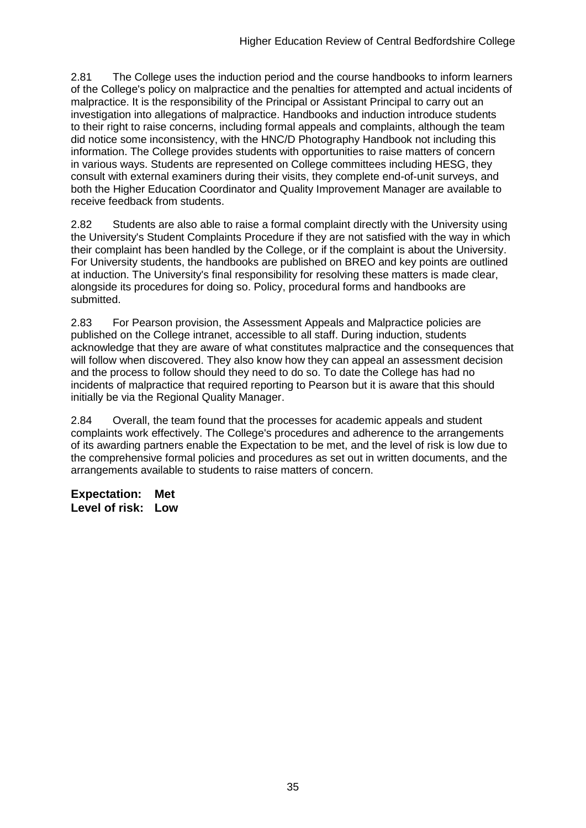2.81 The College uses the induction period and the course handbooks to inform learners of the College's policy on malpractice and the penalties for attempted and actual incidents of malpractice. It is the responsibility of the Principal or Assistant Principal to carry out an investigation into allegations of malpractice. Handbooks and induction introduce students to their right to raise concerns, including formal appeals and complaints, although the team did notice some inconsistency, with the HNC/D Photography Handbook not including this information. The College provides students with opportunities to raise matters of concern in various ways. Students are represented on College committees including HESG, they consult with external examiners during their visits, they complete end-of-unit surveys, and both the Higher Education Coordinator and Quality Improvement Manager are available to receive feedback from students.

2.82 Students are also able to raise a formal complaint directly with the University using the University's Student Complaints Procedure if they are not satisfied with the way in which their complaint has been handled by the College, or if the complaint is about the University. For University students, the handbooks are published on BREO and key points are outlined at induction. The University's final responsibility for resolving these matters is made clear, alongside its procedures for doing so. Policy, procedural forms and handbooks are submitted.

2.83 For Pearson provision, the Assessment Appeals and Malpractice policies are published on the College intranet, accessible to all staff. During induction, students acknowledge that they are aware of what constitutes malpractice and the consequences that will follow when discovered. They also know how they can appeal an assessment decision and the process to follow should they need to do so. To date the College has had no incidents of malpractice that required reporting to Pearson but it is aware that this should initially be via the Regional Quality Manager.

2.84 Overall, the team found that the processes for academic appeals and student complaints work effectively. The College's procedures and adherence to the arrangements of its awarding partners enable the Expectation to be met, and the level of risk is low due to the comprehensive formal policies and procedures as set out in written documents, and the arrangements available to students to raise matters of concern.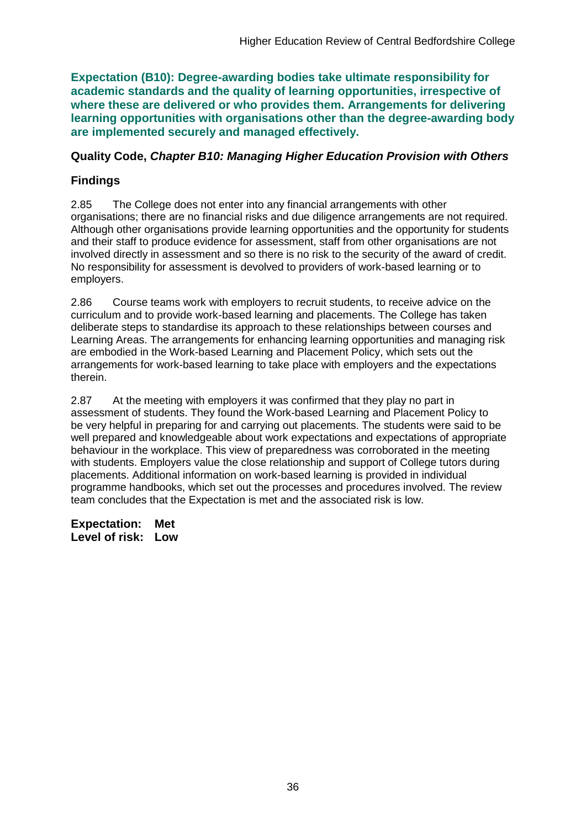**Expectation (B10): Degree-awarding bodies take ultimate responsibility for academic standards and the quality of learning opportunities, irrespective of where these are delivered or who provides them. Arrangements for delivering learning opportunities with organisations other than the degree-awarding body are implemented securely and managed effectively.**

#### **Quality Code,** *Chapter B10: Managing Higher Education Provision with Others*

### **Findings**

2.85 The College does not enter into any financial arrangements with other organisations; there are no financial risks and due diligence arrangements are not required. Although other organisations provide learning opportunities and the opportunity for students and their staff to produce evidence for assessment, staff from other organisations are not involved directly in assessment and so there is no risk to the security of the award of credit. No responsibility for assessment is devolved to providers of work-based learning or to employers.

2.86 Course teams work with employers to recruit students, to receive advice on the curriculum and to provide work-based learning and placements. The College has taken deliberate steps to standardise its approach to these relationships between courses and Learning Areas. The arrangements for enhancing learning opportunities and managing risk are embodied in the Work-based Learning and Placement Policy, which sets out the arrangements for work-based learning to take place with employers and the expectations therein.

2.87 At the meeting with employers it was confirmed that they play no part in assessment of students. They found the Work-based Learning and Placement Policy to be very helpful in preparing for and carrying out placements. The students were said to be well prepared and knowledgeable about work expectations and expectations of appropriate behaviour in the workplace. This view of preparedness was corroborated in the meeting with students. Employers value the close relationship and support of College tutors during placements. Additional information on work-based learning is provided in individual programme handbooks, which set out the processes and procedures involved. The review team concludes that the Expectation is met and the associated risk is low.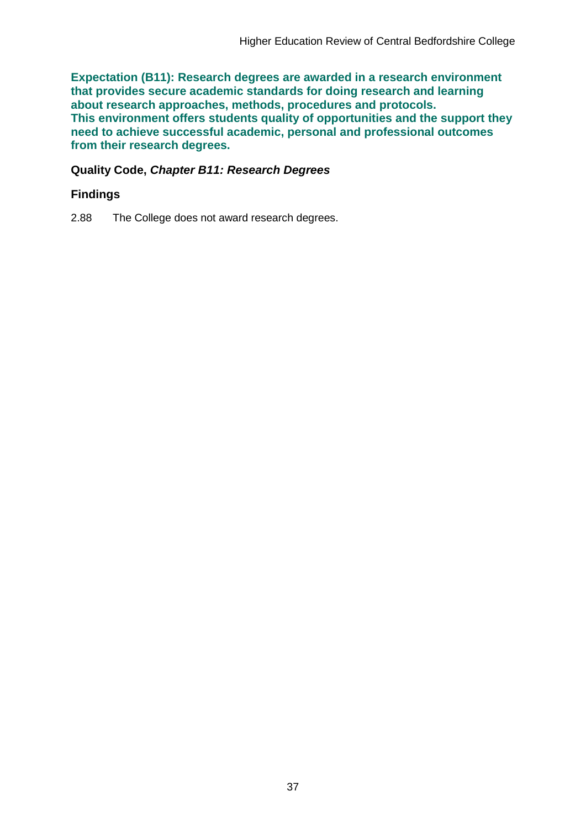**Expectation (B11): Research degrees are awarded in a research environment that provides secure academic standards for doing research and learning about research approaches, methods, procedures and protocols. This environment offers students quality of opportunities and the support they need to achieve successful academic, personal and professional outcomes from their research degrees.**

#### **Quality Code,** *Chapter B11: Research Degrees*

### **Findings**

2.88 The College does not award research degrees.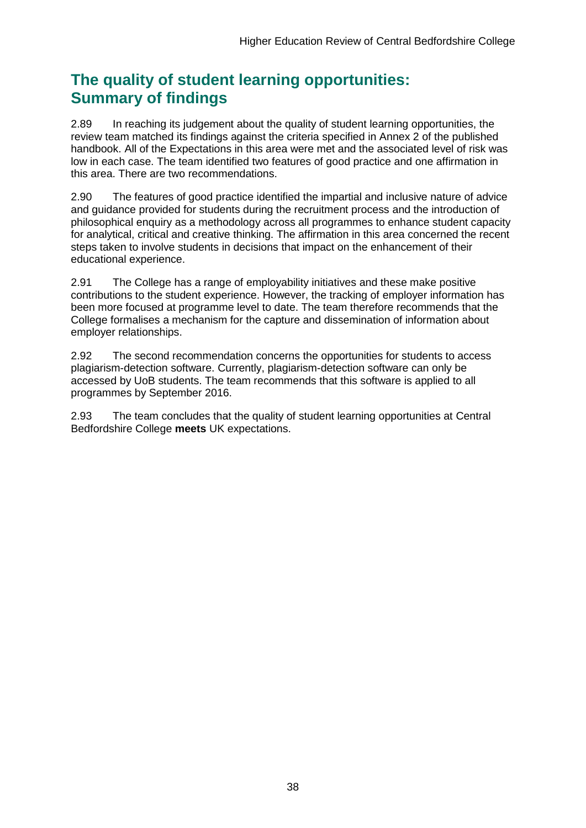## **The quality of student learning opportunities: Summary of findings**

2.89 In reaching its judgement about the quality of student learning opportunities, the review team matched its findings against the criteria specified in Annex 2 of the published handbook. All of the Expectations in this area were met and the associated level of risk was low in each case. The team identified two features of good practice and one affirmation in this area. There are two recommendations.

2.90 The features of good practice identified the impartial and inclusive nature of advice and guidance provided for students during the recruitment process and the introduction of philosophical enquiry as a methodology across all programmes to enhance student capacity for analytical, critical and creative thinking. The affirmation in this area concerned the recent steps taken to involve students in decisions that impact on the enhancement of their educational experience.

2.91 The College has a range of employability initiatives and these make positive contributions to the student experience. However, the tracking of employer information has been more focused at programme level to date. The team therefore recommends that the College formalises a mechanism for the capture and dissemination of information about employer relationships.

2.92 The second recommendation concerns the opportunities for students to access plagiarism-detection software. Currently, plagiarism-detection software can only be accessed by UoB students. The team recommends that this software is applied to all programmes by September 2016.

2.93 The team concludes that the quality of student learning opportunities at Central Bedfordshire College **meets** UK expectations.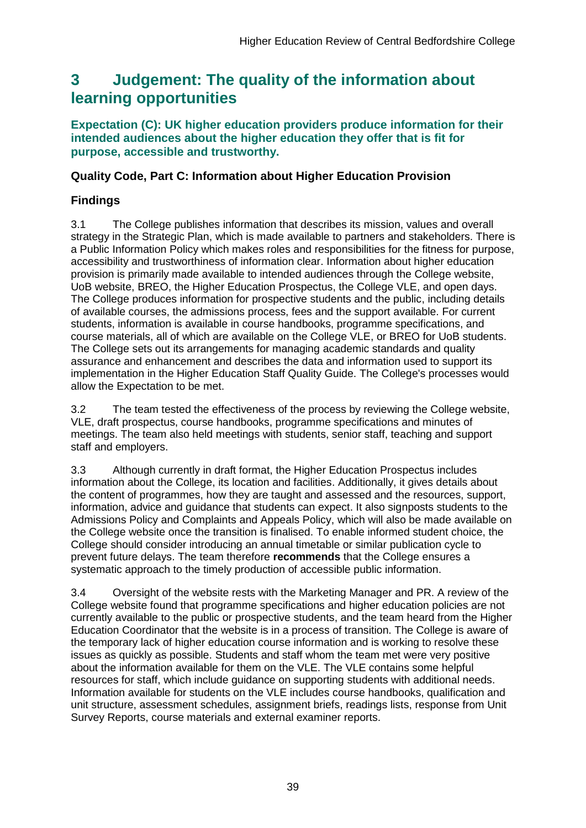## <span id="page-39-0"></span>**3 Judgement: The quality of the information about learning opportunities**

### **Expectation (C): UK higher education providers produce information for their intended audiences about the higher education they offer that is fit for purpose, accessible and trustworthy.**

## **Quality Code, Part C: Information about Higher Education Provision**

## **Findings**

3.1 The College publishes information that describes its mission, values and overall strategy in the Strategic Plan, which is made available to partners and stakeholders. There is a Public Information Policy which makes roles and responsibilities for the fitness for purpose, accessibility and trustworthiness of information clear. Information about higher education provision is primarily made available to intended audiences through the College website, UoB website, BREO, the Higher Education Prospectus, the College VLE, and open days. The College produces information for prospective students and the public, including details of available courses, the admissions process, fees and the support available. For current students, information is available in course handbooks, programme specifications, and course materials, all of which are available on the College VLE, or BREO for UoB students. The College sets out its arrangements for managing academic standards and quality assurance and enhancement and describes the data and information used to support its implementation in the Higher Education Staff Quality Guide. The College's processes would allow the Expectation to be met.

3.2 The team tested the effectiveness of the process by reviewing the College website, VLE, draft prospectus, course handbooks, programme specifications and minutes of meetings. The team also held meetings with students, senior staff, teaching and support staff and employers.

3.3 Although currently in draft format, the Higher Education Prospectus includes information about the College, its location and facilities. Additionally, it gives details about the content of programmes, how they are taught and assessed and the resources, support, information, advice and guidance that students can expect. It also signposts students to the Admissions Policy and Complaints and Appeals Policy, which will also be made available on the College website once the transition is finalised. To enable informed student choice, the College should consider introducing an annual timetable or similar publication cycle to prevent future delays. The team therefore **recommends** that the College ensures a systematic approach to the timely production of accessible public information.

3.4 Oversight of the website rests with the Marketing Manager and PR. A review of the College website found that programme specifications and higher education policies are not currently available to the public or prospective students, and the team heard from the Higher Education Coordinator that the website is in a process of transition. The College is aware of the temporary lack of higher education course information and is working to resolve these issues as quickly as possible. Students and staff whom the team met were very positive about the information available for them on the VLE. The VLE contains some helpful resources for staff, which include guidance on supporting students with additional needs. Information available for students on the VLE includes course handbooks, qualification and unit structure, assessment schedules, assignment briefs, readings lists, response from Unit Survey Reports, course materials and external examiner reports.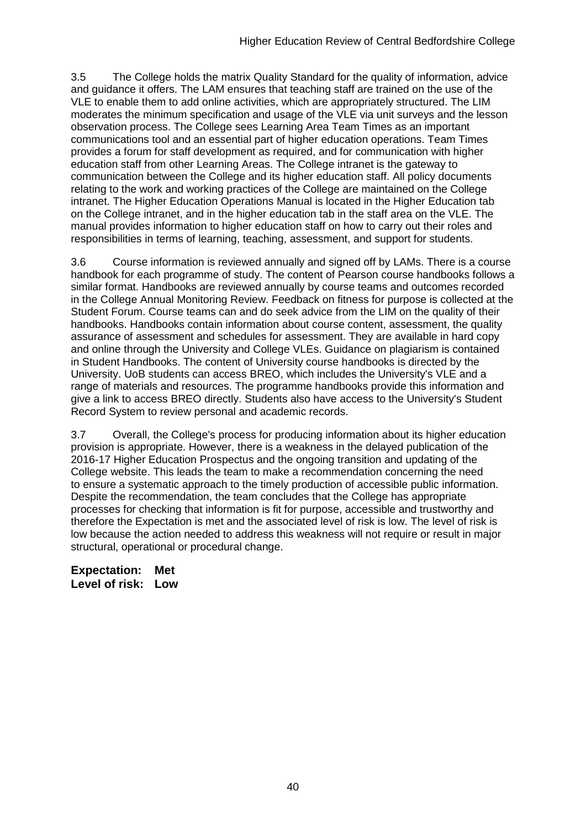3.5 The College holds the matrix Quality Standard for the quality of information, advice and guidance it offers. The LAM ensures that teaching staff are trained on the use of the VLE to enable them to add online activities, which are appropriately structured. The LIM moderates the minimum specification and usage of the VLE via unit surveys and the lesson observation process. The College sees Learning Area Team Times as an important communications tool and an essential part of higher education operations. Team Times provides a forum for staff development as required, and for communication with higher education staff from other Learning Areas. The College intranet is the gateway to communication between the College and its higher education staff. All policy documents relating to the work and working practices of the College are maintained on the College intranet. The Higher Education Operations Manual is located in the Higher Education tab on the College intranet, and in the higher education tab in the staff area on the VLE. The manual provides information to higher education staff on how to carry out their roles and responsibilities in terms of learning, teaching, assessment, and support for students.

3.6 Course information is reviewed annually and signed off by LAMs. There is a course handbook for each programme of study. The content of Pearson course handbooks follows a similar format. Handbooks are reviewed annually by course teams and outcomes recorded in the College Annual Monitoring Review. Feedback on fitness for purpose is collected at the Student Forum. Course teams can and do seek advice from the LIM on the quality of their handbooks. Handbooks contain information about course content, assessment, the quality assurance of assessment and schedules for assessment. They are available in hard copy and online through the University and College VLEs. Guidance on plagiarism is contained in Student Handbooks. The content of University course handbooks is directed by the University. UoB students can access BREO, which includes the University's VLE and a range of materials and resources. The programme handbooks provide this information and give a link to access BREO directly. Students also have access to the University's Student Record System to review personal and academic records.

3.7 Overall, the College's process for producing information about its higher education provision is appropriate. However, there is a weakness in the delayed publication of the 2016-17 Higher Education Prospectus and the ongoing transition and updating of the College website. This leads the team to make a recommendation concerning the need to ensure a systematic approach to the timely production of accessible public information. Despite the recommendation, the team concludes that the College has appropriate processes for checking that information is fit for purpose, accessible and trustworthy and therefore the Expectation is met and the associated level of risk is low. The level of risk is low because the action needed to address this weakness will not require or result in major structural, operational or procedural change.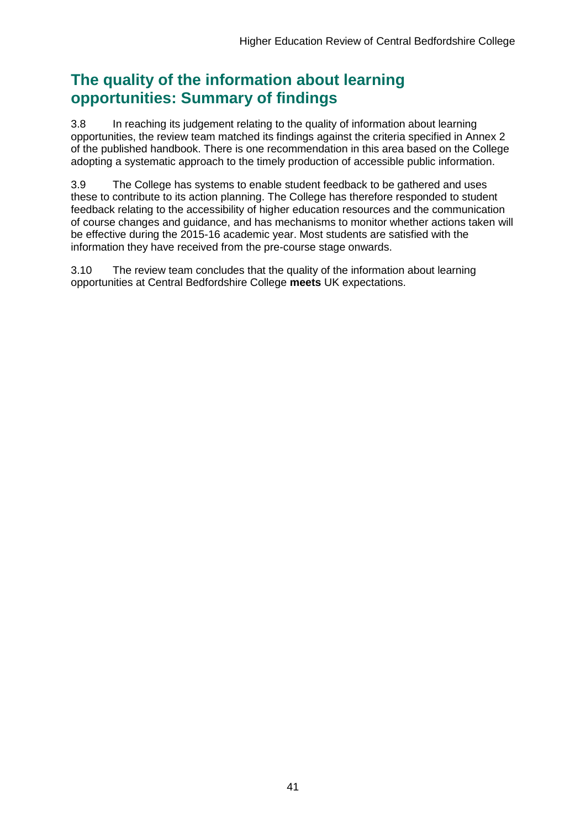## **The quality of the information about learning opportunities: Summary of findings**

3.8 In reaching its judgement relating to the quality of information about learning opportunities, the review team matched its findings against the criteria specified in Annex 2 of the published handbook. There is one recommendation in this area based on the College adopting a systematic approach to the timely production of accessible public information.

3.9 The College has systems to enable student feedback to be gathered and uses these to contribute to its action planning. The College has therefore responded to student feedback relating to the accessibility of higher education resources and the communication of course changes and guidance, and has mechanisms to monitor whether actions taken will be effective during the 2015-16 academic year. Most students are satisfied with the information they have received from the pre-course stage onwards.

3.10 The review team concludes that the quality of the information about learning opportunities at Central Bedfordshire College **meets** UK expectations.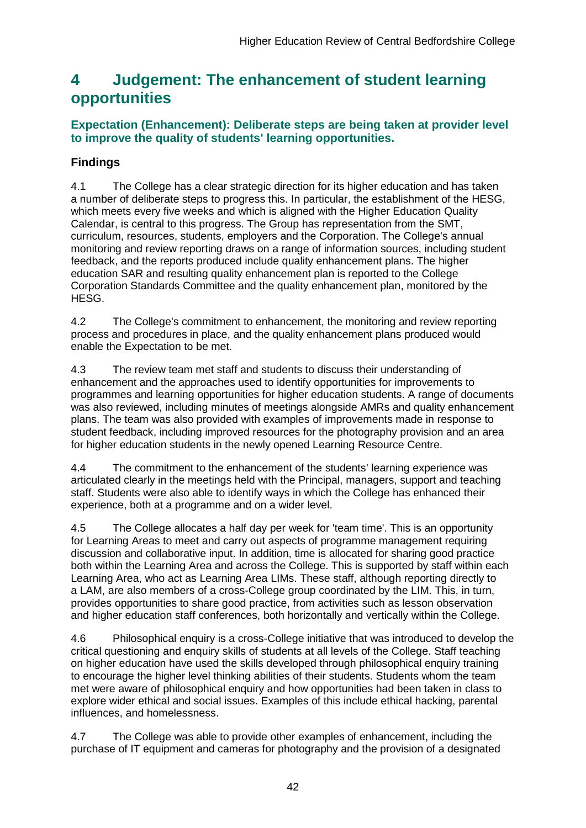## <span id="page-42-0"></span>**4 Judgement: The enhancement of student learning opportunities**

## **Expectation (Enhancement): Deliberate steps are being taken at provider level to improve the quality of students' learning opportunities.**

## **Findings**

4.1 The College has a clear strategic direction for its higher education and has taken a number of deliberate steps to progress this. In particular, the establishment of the HESG, which meets every five weeks and which is aligned with the Higher Education Quality Calendar, is central to this progress. The Group has representation from the SMT, curriculum, resources, students, employers and the Corporation. The College's annual monitoring and review reporting draws on a range of information sources, including student feedback, and the reports produced include quality enhancement plans. The higher education SAR and resulting quality enhancement plan is reported to the College Corporation Standards Committee and the quality enhancement plan, monitored by the HESG.

4.2 The College's commitment to enhancement, the monitoring and review reporting process and procedures in place, and the quality enhancement plans produced would enable the Expectation to be met.

4.3 The review team met staff and students to discuss their understanding of enhancement and the approaches used to identify opportunities for improvements to programmes and learning opportunities for higher education students. A range of documents was also reviewed, including minutes of meetings alongside AMRs and quality enhancement plans. The team was also provided with examples of improvements made in response to student feedback, including improved resources for the photography provision and an area for higher education students in the newly opened Learning Resource Centre.

4.4 The commitment to the enhancement of the students' learning experience was articulated clearly in the meetings held with the Principal, managers, support and teaching staff. Students were also able to identify ways in which the College has enhanced their experience, both at a programme and on a wider level.

4.5 The College allocates a half day per week for 'team time'. This is an opportunity for Learning Areas to meet and carry out aspects of programme management requiring discussion and collaborative input. In addition, time is allocated for sharing good practice both within the Learning Area and across the College. This is supported by staff within each Learning Area, who act as Learning Area LIMs. These staff, although reporting directly to a LAM, are also members of a cross-College group coordinated by the LIM. This, in turn, provides opportunities to share good practice, from activities such as lesson observation and higher education staff conferences, both horizontally and vertically within the College.

4.6 Philosophical enquiry is a cross-College initiative that was introduced to develop the critical questioning and enquiry skills of students at all levels of the College. Staff teaching on higher education have used the skills developed through philosophical enquiry training to encourage the higher level thinking abilities of their students. Students whom the team met were aware of philosophical enquiry and how opportunities had been taken in class to explore wider ethical and social issues. Examples of this include ethical hacking, parental influences, and homelessness.

4.7 The College was able to provide other examples of enhancement, including the purchase of IT equipment and cameras for photography and the provision of a designated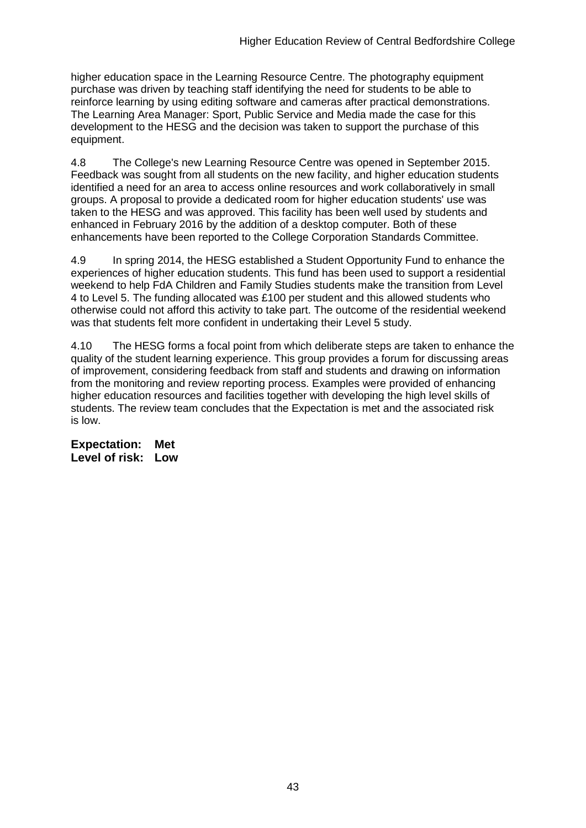higher education space in the Learning Resource Centre. The photography equipment purchase was driven by teaching staff identifying the need for students to be able to reinforce learning by using editing software and cameras after practical demonstrations. The Learning Area Manager: Sport, Public Service and Media made the case for this development to the HESG and the decision was taken to support the purchase of this equipment.

4.8 The College's new Learning Resource Centre was opened in September 2015. Feedback was sought from all students on the new facility, and higher education students identified a need for an area to access online resources and work collaboratively in small groups. A proposal to provide a dedicated room for higher education students' use was taken to the HESG and was approved. This facility has been well used by students and enhanced in February 2016 by the addition of a desktop computer. Both of these enhancements have been reported to the College Corporation Standards Committee.

4.9 In spring 2014, the HESG established a Student Opportunity Fund to enhance the experiences of higher education students. This fund has been used to support a residential weekend to help FdA Children and Family Studies students make the transition from Level 4 to Level 5. The funding allocated was £100 per student and this allowed students who otherwise could not afford this activity to take part. The outcome of the residential weekend was that students felt more confident in undertaking their Level 5 study.

4.10 The HESG forms a focal point from which deliberate steps are taken to enhance the quality of the student learning experience. This group provides a forum for discussing areas of improvement, considering feedback from staff and students and drawing on information from the monitoring and review reporting process. Examples were provided of enhancing higher education resources and facilities together with developing the high level skills of students. The review team concludes that the Expectation is met and the associated risk is low.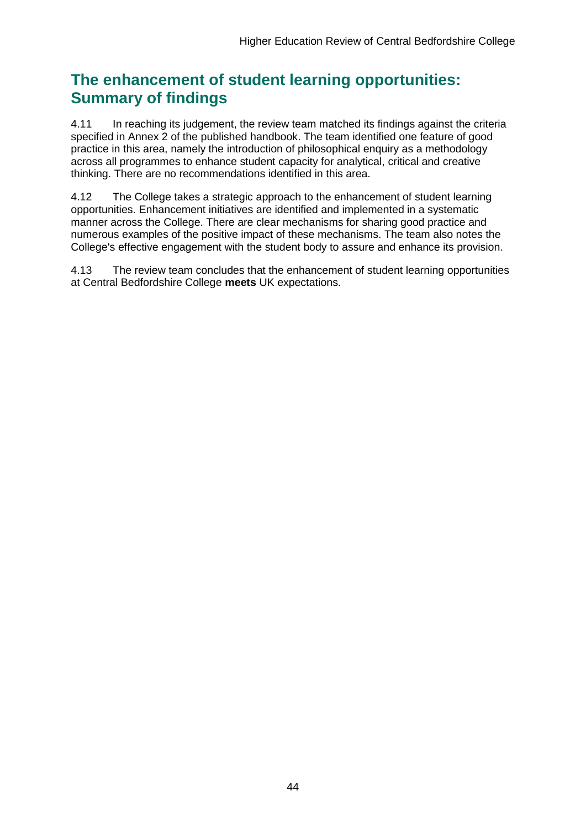## **The enhancement of student learning opportunities: Summary of findings**

4.11 In reaching its judgement, the review team matched its findings against the criteria specified in Annex 2 of the published handbook. The team identified one feature of good practice in this area, namely the introduction of philosophical enquiry as a methodology across all programmes to enhance student capacity for analytical, critical and creative thinking. There are no recommendations identified in this area.

4.12 The College takes a strategic approach to the enhancement of student learning opportunities. Enhancement initiatives are identified and implemented in a systematic manner across the College. There are clear mechanisms for sharing good practice and numerous examples of the positive impact of these mechanisms. The team also notes the College's effective engagement with the student body to assure and enhance its provision.

4.13 The review team concludes that the enhancement of student learning opportunities at Central Bedfordshire College **meets** UK expectations.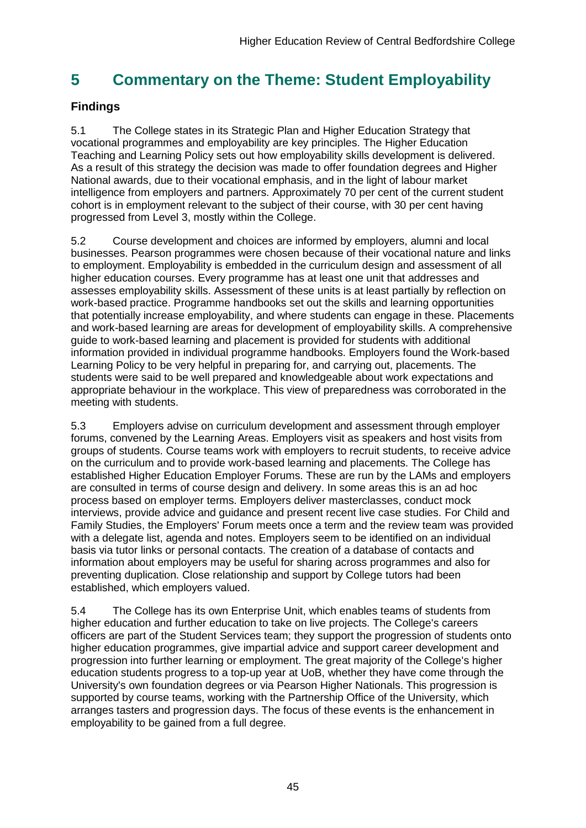## <span id="page-45-0"></span>**5 Commentary on the Theme: Student Employability**

## **Findings**

5.1 The College states in its Strategic Plan and Higher Education Strategy that vocational programmes and employability are key principles. The Higher Education Teaching and Learning Policy sets out how employability skills development is delivered. As a result of this strategy the decision was made to offer foundation degrees and Higher National awards, due to their vocational emphasis, and in the light of labour market intelligence from employers and partners. Approximately 70 per cent of the current student cohort is in employment relevant to the subject of their course, with 30 per cent having progressed from Level 3, mostly within the College.

5.2 Course development and choices are informed by employers, alumni and local businesses. Pearson programmes were chosen because of their vocational nature and links to employment. Employability is embedded in the curriculum design and assessment of all higher education courses. Every programme has at least one unit that addresses and assesses employability skills. Assessment of these units is at least partially by reflection on work-based practice. Programme handbooks set out the skills and learning opportunities that potentially increase employability, and where students can engage in these. Placements and work-based learning are areas for development of employability skills. A comprehensive guide to work-based learning and placement is provided for students with additional information provided in individual programme handbooks. Employers found the Work-based Learning Policy to be very helpful in preparing for, and carrying out, placements. The students were said to be well prepared and knowledgeable about work expectations and appropriate behaviour in the workplace. This view of preparedness was corroborated in the meeting with students.

5.3 Employers advise on curriculum development and assessment through employer forums, convened by the Learning Areas. Employers visit as speakers and host visits from groups of students. Course teams work with employers to recruit students, to receive advice on the curriculum and to provide work-based learning and placements. The College has established Higher Education Employer Forums. These are run by the LAMs and employers are consulted in terms of course design and delivery. In some areas this is an ad hoc process based on employer terms. Employers deliver masterclasses, conduct mock interviews, provide advice and guidance and present recent live case studies. For Child and Family Studies, the Employers' Forum meets once a term and the review team was provided with a delegate list, agenda and notes. Employers seem to be identified on an individual basis via tutor links or personal contacts. The creation of a database of contacts and information about employers may be useful for sharing across programmes and also for preventing duplication. Close relationship and support by College tutors had been established, which employers valued.

5.4 The College has its own Enterprise Unit, which enables teams of students from higher education and further education to take on live projects. The College's careers officers are part of the Student Services team; they support the progression of students onto higher education programmes, give impartial advice and support career development and progression into further learning or employment. The great majority of the College's higher education students progress to a top-up year at UoB, whether they have come through the University's own foundation degrees or via Pearson Higher Nationals. This progression is supported by course teams, working with the Partnership Office of the University, which arranges tasters and progression days. The focus of these events is the enhancement in employability to be gained from a full degree.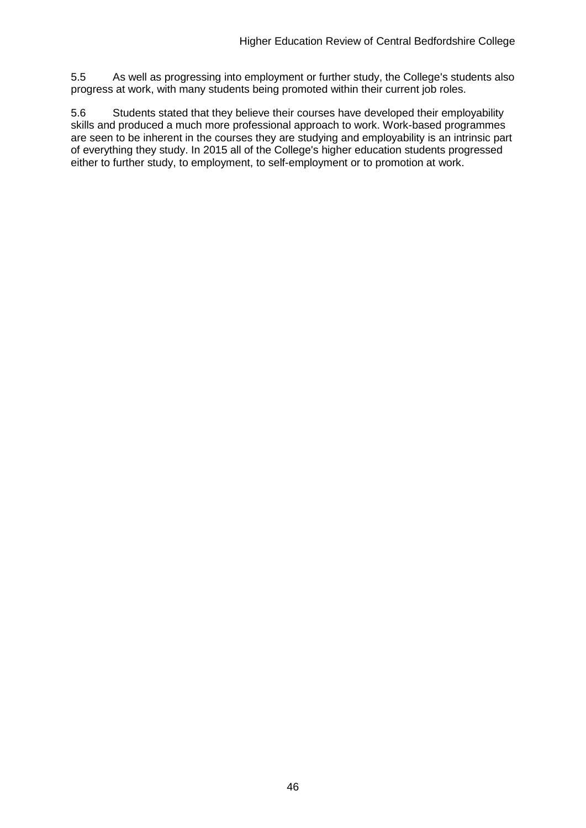5.5 As well as progressing into employment or further study, the College's students also progress at work, with many students being promoted within their current job roles.

<span id="page-46-0"></span>5.6 Students stated that they believe their courses have developed their employability skills and produced a much more professional approach to work. Work-based programmes are seen to be inherent in the courses they are studying and employability is an intrinsic part of everything they study. In 2015 all of the College's higher education students progressed either to further study, to employment, to self-employment or to promotion at work.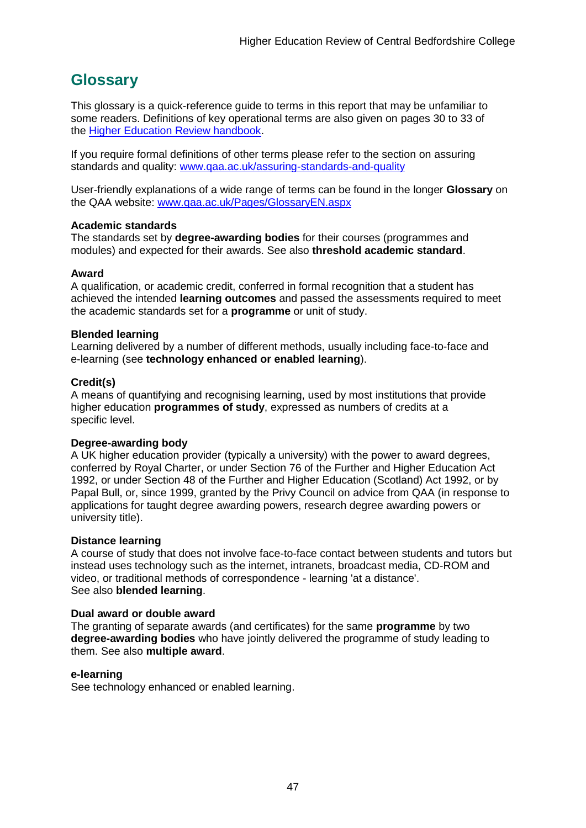## <span id="page-47-0"></span>**Glossary**

This glossary is a quick-reference guide to terms in this report that may be unfamiliar to some readers. Definitions of key operational terms are also given on pages 30 to 33 of the [Higher Education Review handbook.](http://www.qaa.ac.uk/publications/information-and-guidance/publication?PubID=2963)

If you require formal definitions of other terms please refer to the section on assuring standards and quality: [www.qaa.ac.uk/assuring-standards-and-quality](http://www.qaa.ac.uk/assuring-standards-and-quality)

User-friendly explanations of a wide range of terms can be found in the longer **Glossary** on the QAA website: [www.qaa.ac.uk/Pages/GlossaryEN.aspx](http://www.qaa.ac.uk/Pages/GlossaryEN.aspx)

#### **Academic standards**

The standards set by **degree-awarding bodies** for their courses (programmes and modules) and expected for their awards. See also **threshold academic standard**.

#### **Award**

A qualification, or academic credit, conferred in formal recognition that a student has achieved the intended **learning outcomes** and passed the assessments required to meet the academic standards set for a **programme** or unit of study.

#### **Blended learning**

Learning delivered by a number of different methods, usually including face-to-face and e-learning (see **[technology enhanced or enabled learning](http://www.qaa.ac.uk/AboutUs/glossary/Pages/glossary-t.aspx#t1)**).

#### **Credit(s)**

A means of quantifying and recognising learning, used by most institutions that provide higher education **programmes of study**, expressed as numbers of credits at a specific level.

#### **Degree-awarding body**

A UK [higher education provider](http://newlive.qaa.ac.uk/AboutUs/glossary/Pages/glossary-h.aspx#h2.1) (typically a [university\)](http://newlive.qaa.ac.uk/AboutUs/glossary/Pages/glossary-u-z.aspx#u4) with the power to award degrees, conferred by Royal Charter, or under Section 76 of the Further and Higher Education Act 1992, or under Section 48 of the Further and Higher Education (Scotland) Act 1992, or by Papal Bull, or, since 1999, granted by the Privy Council on advice from QAA (in response to applications for [taught degree awarding powers, research degree awarding powers or](http://newlive.qaa.ac.uk/AboutUs/DAP/Pages/default.aspx)  [university title\)](http://newlive.qaa.ac.uk/AboutUs/DAP/Pages/default.aspx).

#### **Distance learning**

A course of study that does not involve face-to-face contact between students and tutors but instead uses technology such as the internet, intranets, broadcast media, CD-ROM and video, or traditional methods of correspondence - learning 'at a distance'. See also **blended learning**.

#### **Dual award or double award**

The granting of separate awards (and certificates) for the same **programme** by two **degree-awarding bodies** who have jointly delivered the programme of study leading to them. See also **multiple award**.

#### **e-learning**

See technology enhanced or enabled learning.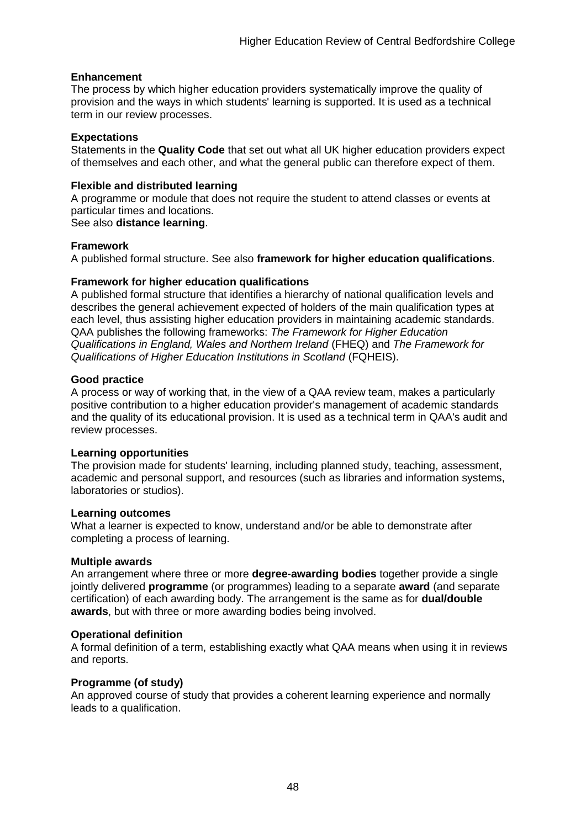#### **Enhancement**

The process by which [higher education providers](http://www.qaa.ac.uk/AboutUs/glossary/Pages/glossary-h.aspx#h2.1) systematically improve the quality of provision and the ways in which students' learning is supported. It is used as a technical term in our review processes.

#### **Expectations**

Statements in the **Quality Code** that set out what all UK [higher education providers](http://newlive.qaa.ac.uk/AboutUs/glossary/Pages/glossary-h.aspx#h2.1) expect of themselves and each other, and what the general public can therefore expect of them.

#### **Flexible and distributed learning**

A [programme](http://newlive.qaa.ac.uk/AboutUs/glossary/Pages/glossary-p.aspx#p12) or [module](http://newlive.qaa.ac.uk/AboutUs/glossary/Pages/glossary-m-o.aspx#m6) that does not require the student to attend classes or events at particular times and locations.

#### See also **distance learning**.

#### **Framework**

A published formal structure. See also **framework for higher education qualifications**.

#### **Framework for higher education qualifications**

A published formal structure that identifies a hierarchy of national qualification levels and describes the general achievement expected of holders of the main qualification types at each level, thus assisting higher education providers in maintaining academic standards. QAA publishes the following frameworks: *The Framework for Higher Education Qualifications in England, Wales and Northern Ireland* (FHEQ) and *The Framework for Qualifications of Higher Education Institutions in Scotland* (FQHEIS).

#### **Good practice**

A process or way of working that, in the view of a QAA review team, makes a particularly positive contribution to a higher education provider's management of academic standards and the quality of its educational provision. It is used as a technical term in QAA's audit and review processes.

#### **Learning opportunities**

The provision made for students' learning, including planned study, teaching, assessment, academic and personal support, and resources (such as libraries and information systems, laboratories or studios).

#### **Learning outcomes**

What a learner is expected to know, understand and/or be able to demonstrate after completing a process of learning.

#### **Multiple awards**

An arrangement where three or more **degree-awarding bodies** together provide a single jointly delivered **programme** (or programmes) leading to a separate **award** (and separate certification) of each awarding body. The arrangement is the same as for **dual/double awards**, but with three or more awarding bodies being involved.

#### **Operational definition**

A formal definition of a term, establishing exactly what QAA means when using it in reviews and reports.

#### **Programme (of study)**

An approved course of study that provides a coherent learning experience and normally leads to a qualification.